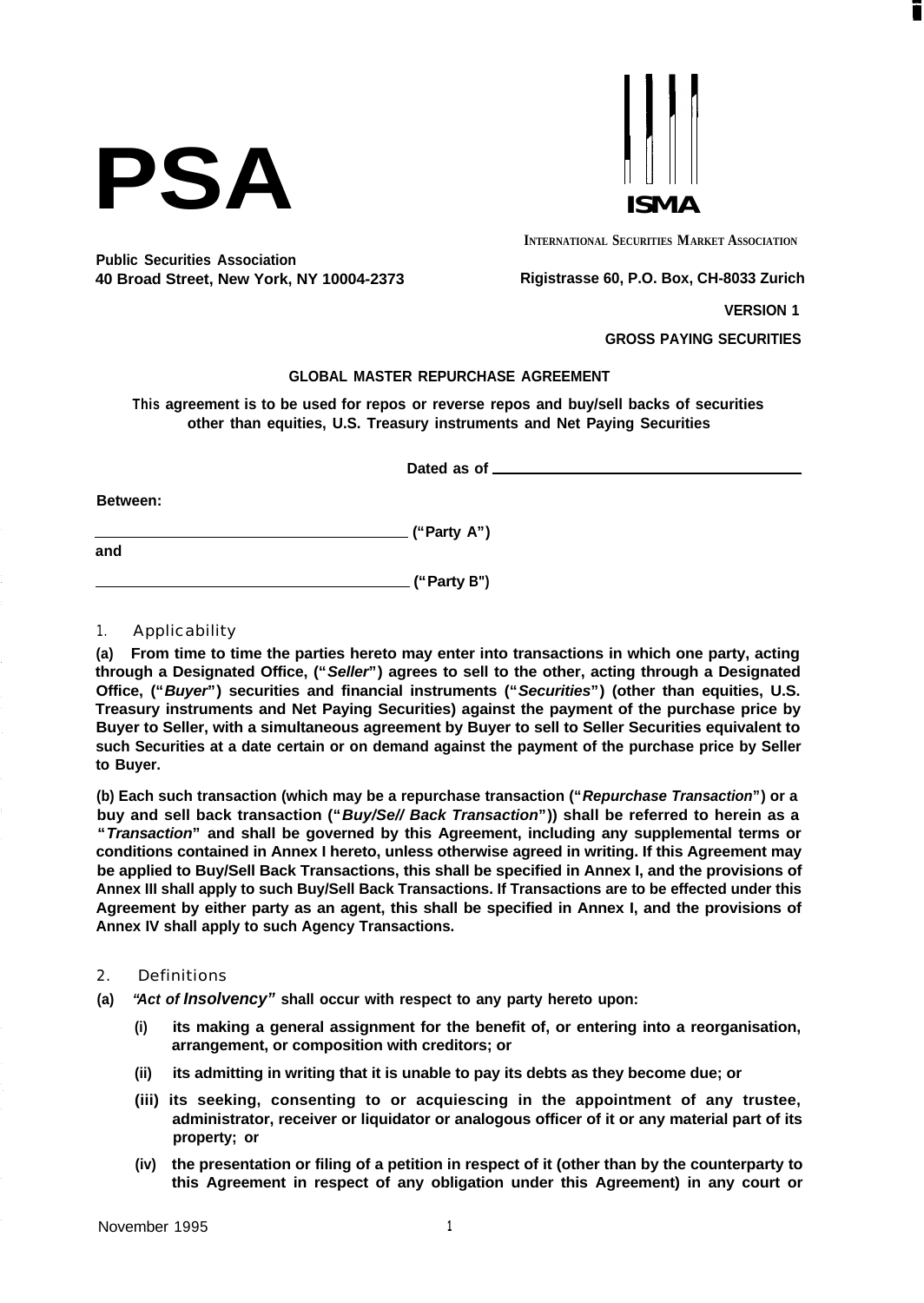



**INTERNATIONAL SECURITIES MARKET ASSOCIATION**

**Public Securities Association 40 Broad Street, New York, NY 10004-2373**

**Rigistrasse 60, P.O. Box, CH-8033 Zurich**

**VERSION 1**

**GROSS PAYING SECURITIES**

#### **GLOBAL MASTER REPURCHASE AGREEMENT**

**This agreement is to be used for repos or reverse repos and buy/sell backs of securities other than equities, U.S. Treasury instruments and Net Paying Securities**

**Dated as of**

**Between:**

**and ("Party A")**

**("Party B")**

1. Applicability

**(a) From time to time the parties hereto may enter into transactions in which one party, acting through a Designated Office, ("***Seller***") agrees to sell to the other, acting through a Designated Office, ("***Buyer***") securities and financial instruments ("***Securities***") (other than equities, U.S. Treasury instruments and Net Paying Securities) against the payment of the purchase price by Buyer to Seller, with a simultaneous agreement by Buyer to sell to Seller Securities equivalent to such Securities at a date certain or on demand against the payment of the purchase price by Seller to Buyer.**

**(b) Each such transaction (which may be a repurchase transaction ("***Repurchase Transaction***") or a buy and sell back transaction ("***Buy/Se// Back Transaction***")) shall be referred to herein as a "***Transaction***" and shall be governed by this Agreement, including any supplemental terms or conditions contained in Annex I hereto, unless otherwise agreed in writing. If this Agreement may be applied to Buy/Sell Back Transactions, this shall be specified in Annex I, and the provisions of Annex III shall apply to such Buy/Sell Back Transactions. If Transactions are to be effected under this Agreement by either party as an agent, this shall be specified in Annex I, and the provisions of Annex IV shall apply to such Agency Transactions.**

# 2. Definitions

- **(a)** *"Act of Insolvency"* **shall occur with respect to any party hereto upon:**
	- **(i) its making a general assignment for the benefit of, or entering into a reorganisation, arrangement, or composition with creditors; or**
	- **(ii) its admitting in writing that it is unable to pay its debts as they become due; or**
	- **(iii) its seeking, consenting to or acquiescing in the appointment of any trustee, administrator, receiver or liquidator or analogous officer of it or any material part of its property; or**
	- **(iv) the presentation or filing of a petition in respect of it (other than by the counterparty to this Agreement in respect of any obligation under this Agreement) in any court or**

November 1995 **<sup>1</sup>**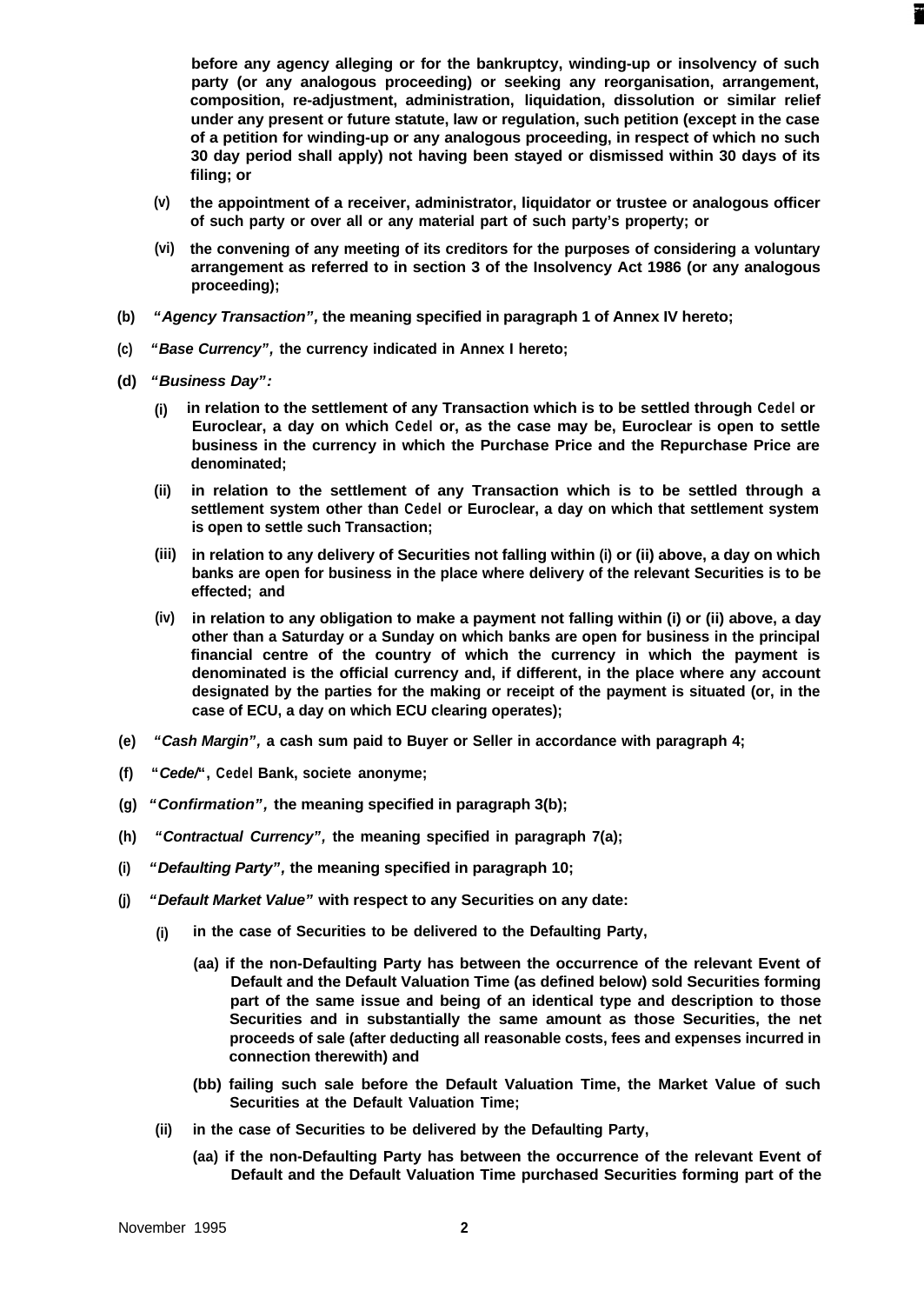**before any agency alleging or for the bankruptcy, winding-up or insolvency of such party (or any analogous proceeding) or seeking any reorganisation, arrangement, composition, re-adjustment, administration, liquidation, dissolution or similar relief under any present or future statute, law or regulation, such petition (except in the case of a petition for winding-up or any analogous proceeding, in respect of which no such 30 day period shall apply) not having been stayed or dismissed within 30 days of its filing; or**

- **(v) the appointment of a receiver, administrator, liquidator or trustee or analogous officer of such party or over all or any material part of such party's property; or**
- **(vi) the convening of any meeting of its creditors for the purposes of considering a voluntary arrangement as referred to in section 3 of the Insolvency Act 1986 (or any analogous proceeding);**
- **(b)** *"Agency Transaction",* **the meaning specified in paragraph 1 of Annex IV hereto;**
- **(c)** *"Base Currency",* **the currency indicated in Annex I hereto;**
- **(d)** *"Business Day":*
	- **(i) in relation to the settlement of any Transaction which is to be settled through Cedel or Euroclear, a day on which Cedel or, as the case may be, Euroclear is open to settle business in the currency in which the Purchase Price and the Repurchase Price are denominated;**
	- **(ii) in relation to the settlement of any Transaction which is to be settled through a settlement system other than Cedel or Euroclear, a day on which that settlement system is open to settle such Transaction;**
	- **(iii) in relation to any delivery of Securities not falling within (i) or (ii) above, a day on which banks are open for business in the place where delivery of the relevant Securities is to be effected; and**
	- **(iv) in relation to any obligation to make a payment not falling within (i) or (ii) above, a day other than a Saturday or a Sunday on which banks are open for business in the principal financial centre of the country of which the currency in which the payment is denominated is the official currency and, if different, in the place where any account designated by the parties for the making or receipt of the payment is situated (or, in the case of ECU, a day on which ECU clearing operates);**
- **(e)** *"Cash Margin",* **a cash sum paid to Buyer or Seller in accordance with paragraph 4;**
- **(f) "***Cede/***", Cedel Bank, societe anonyme;**
- **(g)** *"Confirmation",* **the meaning specified in paragraph 3(b);**
- **(h)** *"Contractual Currency",* **the meaning specified in paragraph 7(a);**
- **(i)** *"Defaulting Party",* **the meaning specified in paragraph 10;**
- **(j)** *"Default Market Value"* **with respect to any Securities on any date:**
	- **(i) in the case of Securities to be delivered to the Defaulting Party,**
		- **(aa) if the non-Defaulting Party has between the occurrence of the relevant Event of Default and the Default Valuation Time (as defined below) sold Securities forming part of the same issue and being of an identical type and description to those Securities and in substantially the same amount as those Securities, the net proceeds of sale (after deducting all reasonable costs, fees and expenses incurred in connection therewith) and**
		- **(bb) failing such sale before the Default Valuation Time, the Market Value of such Securities at the Default Valuation Time;**
	- **(ii) in the case of Securities to be delivered by the Defaulting Party,**
		- **(aa) if the non-Defaulting Party has between the occurrence of the relevant Event of Default and the Default Valuation Time purchased Securities forming part of the**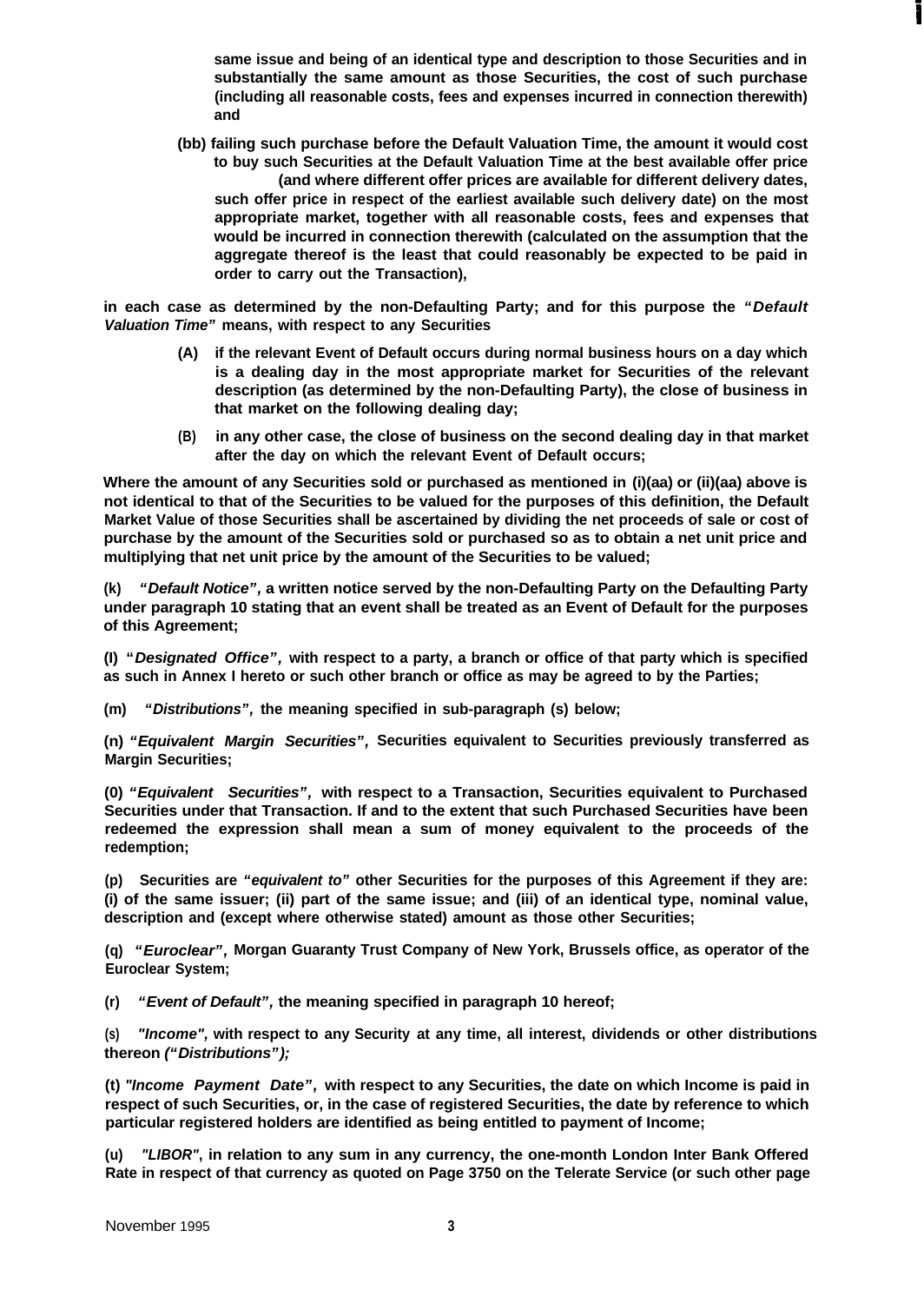**same issue and being of an identical type and description to those Securities and in substantially the same amount as those Securities, the cost of such purchase (including all reasonable costs, fees and expenses incurred in connection therewith) and**

**(bb) failing such purchase before the Default Valuation Time, the amount it would cost to buy such Securities at the Default Valuation Time at the best available offer price** (and where different offer prices are available for different delivery dates, **such offer price in respect of the earliest available such delivery date) on the most appropriate market, together with all reasonable costs, fees and expenses that would be incurred in connection therewith (calculated on the assumption that the aggregate thereof is the least that could reasonably be expected to be paid in order to carry out the Transaction),**

**in each case as determined by the non-Defaulting Party; and for this purpose the** *"Default Valuation Time"* **means, with respect to any Securities**

- **(A) if the relevant Event of Default occurs during normal business hours on a day which is a dealing day in the most appropriate market for Securities of the relevant description (as determined by the non-Defaulting Party), the close of business in that market on the following dealing day;**
- **(B) in any other case, the close of business on the second dealing day in that market after the day on which the relevant Event of Default occurs;**

**Where the amount of any Securities sold or purchased as mentioned in (i)(aa) or (ii)(aa) above is not identical to that of the Securities to be valued for the purposes of this definition, the Default Market Value of those Securities shall be ascertained by dividing the net proceeds of sale or cost of purchase by the amount of the Securities sold or purchased so as to obtain a net unit price and multiplying that net unit price by the amount of the Securities to be valued;**

**(k)** *"Default Notice",* **a written notice served by the non-Defaulting Party on the Defaulting Party under paragraph 10 stating that an event shall be treated as an Event of Default for the purposes of this Agreement;**

**(I) "***Designated Office",* **with respect to a party, a branch or office of that party which is specified as such in Annex I hereto or such other branch or office as may be agreed to by the Parties;**

**(m)** *"Distributions",* **the meaning specified in sub-paragraph (s) below;**

**(n)** *"Equivalent Margin Securities",* **Securities equivalent to Securities previously transferred as Margin Securities;**

**(0)** *"Equivalent Securities",* **with respect to a Transaction, Securities equivalent to Purchased Securities under that Transaction. If and to the extent that such Purchased Securities have been redeemed the expression shall mean a sum of money equivalent to the proceeds of the redemption;**

**(p) Securities are** *"equivalent to"* **other Securities for the purposes of this Agreement if they are: (i) of the same issuer; (ii) part of the same issue; and (iii) of an identical type, nominal value, description and (except where otherwise stated) amount as those other Securities;**

**(q)** *"Euroclear",* **Morgan Guaranty Trust Company of New York, Brussels office, as operator of the Euroclear System;**

**(r)** *"Event of Default",* **the meaning specified in paragraph 10 hereof;**

**(s)** *"Income",* **with respect to any Security at any time, all interest, dividends or other distributions thereon** *("Distributions");*

**(t)** *"Income Payment Date",* **with respect to any Securities, the date on which Income is paid in respect of such Securities, or, in the case of registered Securities, the date by reference to which particular registered holders are identified as being entitled to payment of Income;**

**(u)** *"LIBOR"***, in relation to any sum in any currency, the one-month London Inter Bank Offered Rate in respect of that currency as quoted on Page 3750 on the Telerate Service (or such other page**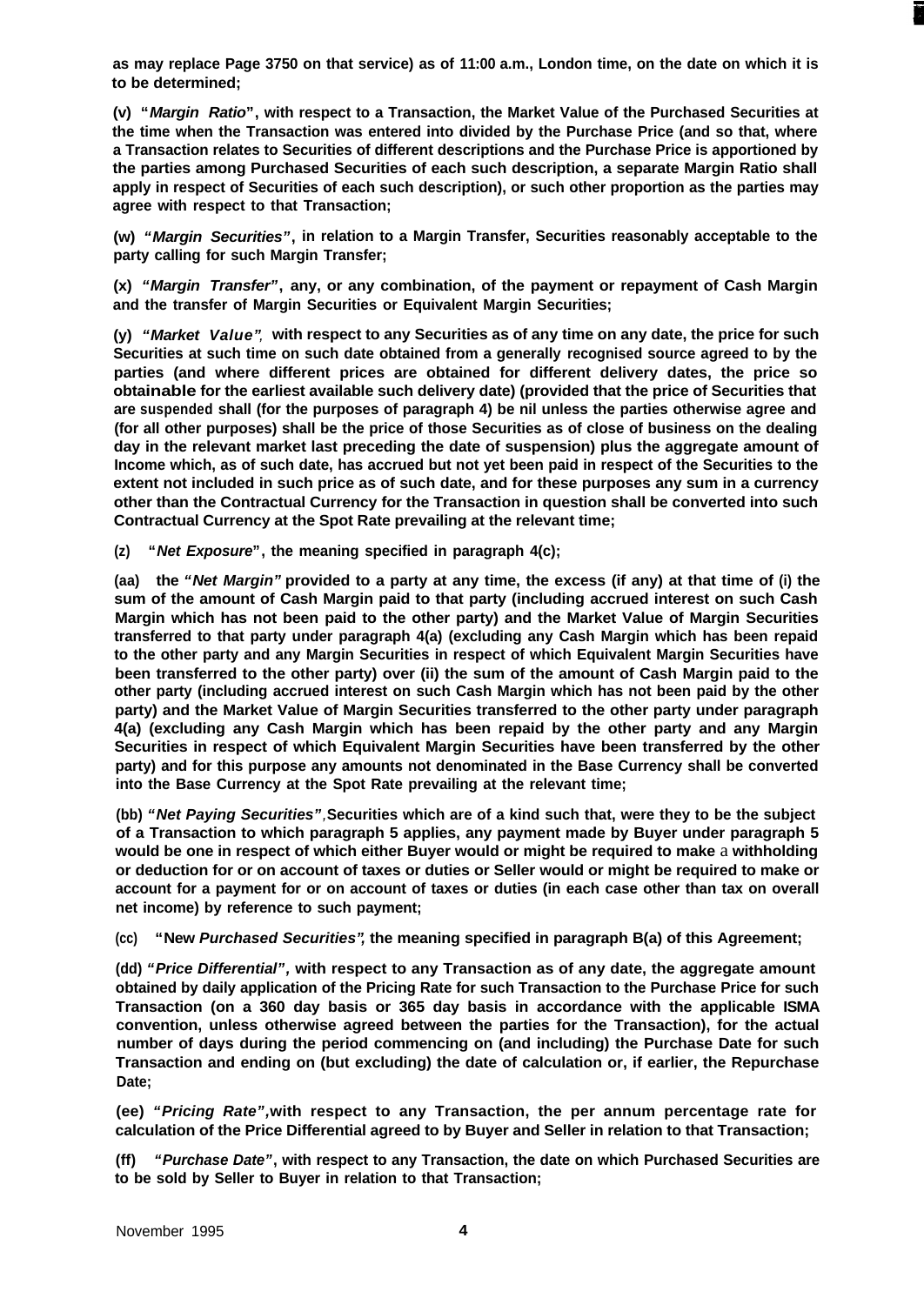**as may replace Page 3750 on that service) as of 11:00 a.m., London time, on the date on which it is to be determined;**

**(v) "***Margin Ratio***", with respect to a Transaction, the Market Value of the Purchased Securities at the time when the Transaction was entered into divided by the Purchase Price (and so that, where a Transaction relates to Securities of different descriptions and the Purchase Price is apportioned by the parties among Purchased Securities of each such description, a separate Margin Ratio shall apply in respect of Securities of each such description), or such other proportion as the parties may agree with respect to that Transaction;**

**(w)** *"Margin Securities"***, in relation to a Margin Transfer, Securities reasonably acceptable to the party calling for such Margin Transfer;**

**(x)** *"Margin Transfer"***, any, or any combination, of the payment or repayment of Cash Margin and the transfer of Margin Securities or Equivalent Margin Securities;**

**(y)** *"Market Value",* **with respect to any Securities as of any time on any date, the price for such Securities at such time on such date obtained from a generally recognised source agreed to by the parties (and where different prices are obtained for different delivery dates, the price so obtainable for the earliest available such delivery date) (provided that the price of Securities that are suspended shall (for the purposes of paragraph 4) be nil unless the parties otherwise agree and (for all other purposes) shall be the price of those Securities as of close of business on the dealing day in the relevant market last preceding the date of suspension) plus the aggregate amount of Income which, as of such date, has accrued but not yet been paid in respect of the Securities to the extent not included in such price as of such date, and for these purposes any sum in a currency other than the Contractual Currency for the Transaction in question shall be converted into such Contractual Currency at the Spot Rate prevailing at the relevant time;**

**(z) "***Net Exposure***", the meaning specified in paragraph 4(c);**

**(aa) the** *"Net Margin"* **provided to a party at any time, the excess (if any) at that time of (i) the sum of the amount of Cash Margin paid to that party (including accrued interest on such Cash Margin which has not been paid to the other party) and the Market Value of Margin Securities transferred to that party under paragraph 4(a) (excluding any Cash Margin which has been repaid to the other party and any Margin Securities in respect of which Equivalent Margin Securities have been transferred to the other party) over (ii) the sum of the amount of Cash Margin paid to the other party (including accrued interest on such Cash Margin which has not been paid by the other party) and the Market Value of Margin Securities transferred to the other party under paragraph 4(a) (excluding any Cash Margin which has been repaid by the other party and any Margin Securities in respect of which Equivalent Margin Securities have been transferred by the other party) and for this purpose any amounts not denominated in the Base Currency shall be converted into the Base Currency at the Spot Rate prevailing at the relevant time;**

**(bb)** *"Net Paying Securities",***Securities which are of a kind such that, were they to be the subject of a Transaction to which paragraph 5 applies, any payment made by Buyer under paragraph 5 would be one in respect of which either Buyer would or might be required to make** a **withholding or deduction for or on account of taxes or duties or Seller would or might be required to make or account for a payment for or on account of taxes or duties (in each case other than tax on overall net income) by reference to such payment;**

**(cc) "New** *Purchased Securities",* **the meaning specified in paragraph B(a) of this Agreement;**

**(dd)** *"Price Differential",* **with respect to any Transaction as of any date, the aggregate amount obtained by daily application of the Pricing Rate for such Transaction to the Purchase Price for such Transaction (on a 360 day basis or 365 day basis in accordance with the applicable ISMA convention, unless otherwise agreed between the parties for the Transaction), for the actual number of days during the period commencing on (and including) the Purchase Date for such Transaction and ending on (but excluding) the date of calculation or, if earlier, the Repurchase Date;**

**(ee)** *"Pricing Rate",***with respect to any Transaction, the per annum percentage rate for calculation of the Price Differential agreed to by Buyer and Seller in relation to that Transaction;**

**(ff)** *"Purchase Date"***, with respect to any Transaction, the date on which Purchased Securities are to be sold by Seller to Buyer in relation to that Transaction;**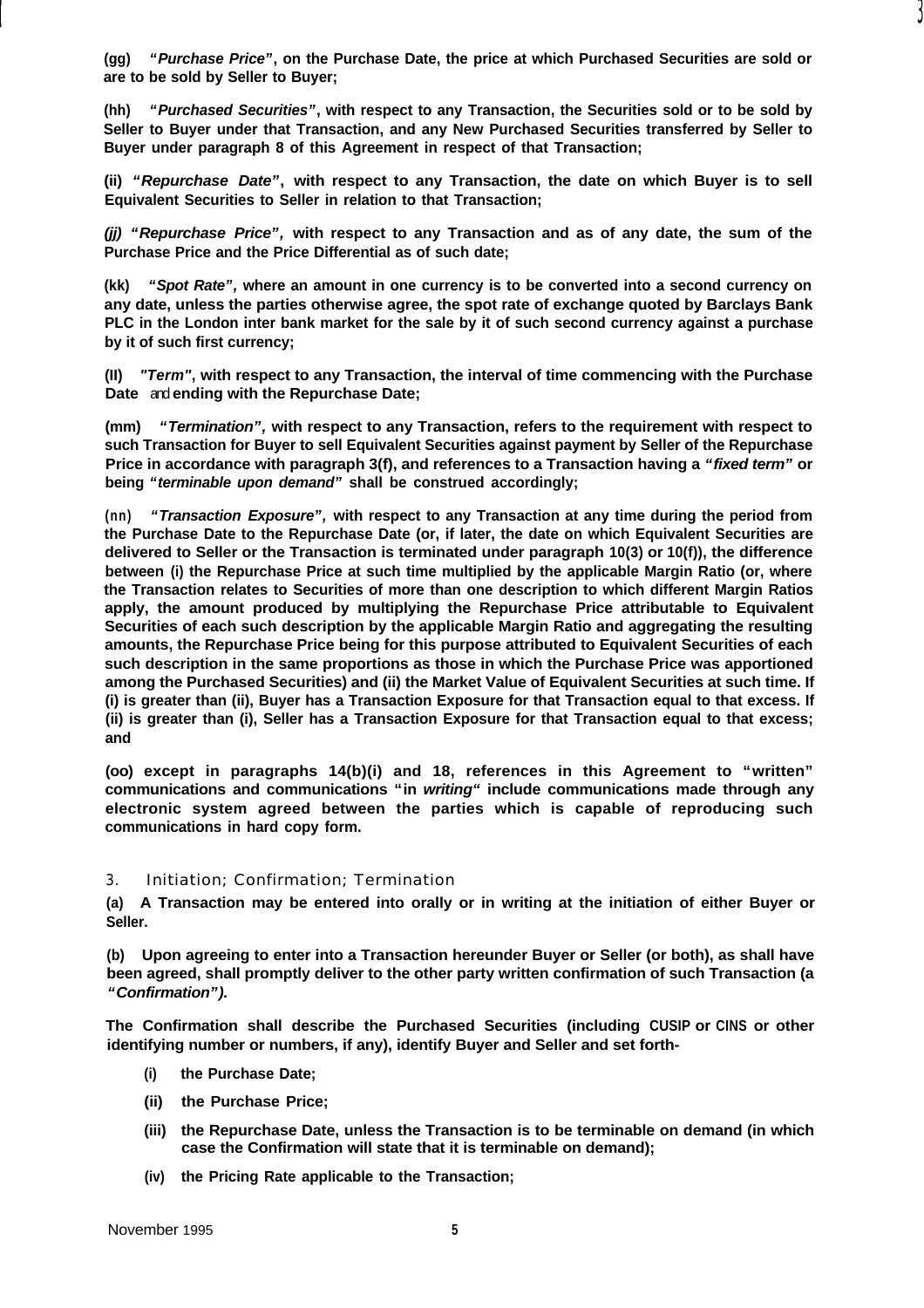**(gg)** *"Purchase Price"***, on the Purchase Date, the price at which Purchased Securities are sold or are to be sold by Seller to Buyer;**

**(hh)** *"Purchased Securities"***, with respect to any Transaction, the Securities sold or to be sold by Seller to Buyer under that Transaction, and any New Purchased Securities transferred by Seller to Buyer under paragraph 8 of this Agreement in respect of that Transaction;**

**(ii)** *"Repurchase Date"***, with respect to any Transaction, the date on which Buyer is to sell Equivalent Securities to Seller in relation to that Transaction;**

*(jj) "Repurchase Price",* **with respect to any Transaction and as of any date, the sum of the Purchase Price and the Price Differential as of such date;**

**(kk)** *"Spot Rate",* **where an amount in one currency is to be converted into a second currency on any date, unless the parties otherwise agree, the spot rate of exchange quoted by Barclays Bank PLC in the London inter bank market for the sale by it of such second currency against a purchase by it of such first currency;**

**(II)** *"Term"***, with respect to any Transaction, the interval of time commencing with the Purchase Date** and **ending with the Repurchase Date;**

**(mm)** *"Termination",* **with respect to any Transaction, refers to the requirement with respect to such Transaction for Buyer to sell Equivalent Securities against payment by Seller of the Repurchase Price in accordance with paragraph 3(f), and references to a Transaction having a** *"fixed term"* **or being** *"terminable upon demand"* **shall be construed accordingly;**

**(nn)** *"Transaction Exposure",* **with respect to any Transaction at any time during the period from the Purchase Date to the Repurchase Date (or, if later, the date on which Equivalent Securities are delivered to Seller or the Transaction is terminated under paragraph 10(3) or 10(f)), the difference between (i) the Repurchase Price at such time multiplied by the applicable Margin Ratio (or, where the Transaction relates to Securities of more than one description to which different Margin Ratios apply, the amount produced by multiplying the Repurchase Price attributable to Equivalent Securities of each such description by the applicable Margin Ratio and aggregating the resulting amounts, the Repurchase Price being for this purpose attributed to Equivalent Securities of each such description in the same proportions as those in which the Purchase Price was apportioned among the Purchased Securities) and (ii) the Market Value of Equivalent Securities at such time. If (i) is greater than (ii), Buyer has a Transaction Exposure for that Transaction equal to that excess. If (ii) is greater than (i), Seller has a Transaction Exposure for that Transaction equal to that excess; and**

**(oo) except in paragraphs 14(b)(i) and 18, references in this Agreement to "written" communications and communications "in** *writing"* **include communications made through any electronic system agreed between the parties which is capable of reproducing such communications in hard copy form.**

# 3. Initiation; Confirmation; Termination

**(a) A Transaction may be entered into orally or in writing at the initiation of either Buyer or Seller.**

**(b) Upon agreeing to enter into a Transaction hereunder Buyer or Seller (or both), as shall have been agreed, shall promptly deliver to the other party written confirmation of such Transaction (a** *"Confirmation").*

**The Confirmation shall describe the Purchased Securities (including CUSIP or CINS or other identifying number or numbers, if any), identify Buyer and Seller and set forth-**

- **(i) the Purchase Date;**
- **(ii) the Purchase Price;**
- **(iii) the Repurchase Date, unless the Transaction is to be terminable on demand (in which case the Confirmation will state that it is terminable on demand);**
- **(iv) the Pricing Rate applicable to the Transaction;**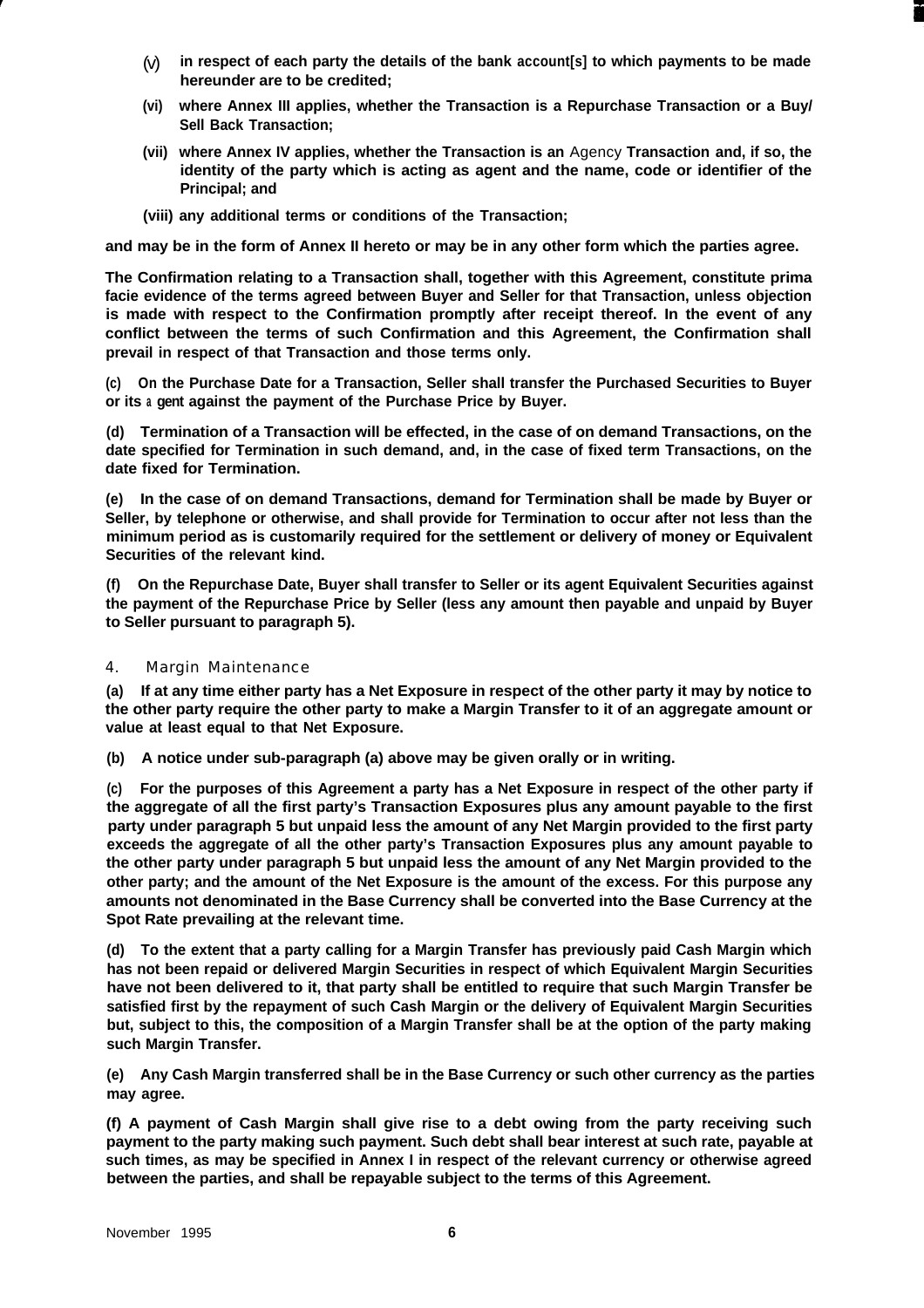- (v) **in respect of each party the details of the bank account[s] to which payments to be made hereunder are to be credited;**
- **(vi) where Annex III applies, whether the Transaction is a Repurchase Transaction or a Buy/ Sell Back Transaction;**
- **(vii) where Annex IV applies, whether the Transaction is an** Agency **Transaction and, if so, the identity of the party which is acting as agent and the name, code or identifier of the Principal; and**
- **(viii) any additional terms or conditions of the Transaction;**

**and may be in the form of Annex II hereto or may be in any other form which the parties agree.**

**The Confirmation relating to a Transaction shall, together with this Agreement, constitute prima facie evidence of the terms agreed between Buyer and Seller for that Transaction, unless objection is made with respect to the Confirmation promptly after receipt thereof. In the event of any conflict between the terms of such Confirmation and this Agreement, the Confirmation shall prevail in respect of that Transaction and those terms only.**

**(c) On the Purchase Date for a Transaction, Seller shall transfer the Purchased Securities to Buyer or its a gent against the payment of the Purchase Price by Buyer.**

**(d) Termination of a Transaction will be effected, in the case of on demand Transactions, on the date specified for Termination in such demand, and, in the case of fixed term Transactions, on the date fixed for Termination.**

**(e) In the case of on demand Transactions, demand for Termination shall be made by Buyer or Seller, by telephone or otherwise, and shall provide for Termination to occur after not less than the minimum period as is customarily required for the settlement or delivery of money or Equivalent Securities of the relevant kind.**

**(f) On the Repurchase Date, Buyer shall transfer to Seller or its agent Equivalent Securities against the payment of the Repurchase Price by Seller (less any amount then payable and unpaid by Buyer to Seller pursuant to paragraph 5).**

# 4. Margin Maintenance

**(a) If at any time either party has a Net Exposure in respect of the other party it may by notice to the other party require the other party to make a Margin Transfer to it of an aggregate amount or value at least equal to that Net Exposure.**

**(b) A notice under sub-paragraph (a) above may be given orally or in writing.**

**(c) For the purposes of this Agreement a party has a Net Exposure in respect of the other party if the aggregate of all the first party's Transaction Exposures plus any amount payable to the first party under paragraph 5 but unpaid less the amount of any Net Margin provided to the first party exceeds the aggregate of all the other party's Transaction Exposures plus any amount payable to the other party under paragraph 5 but unpaid less the amount of any Net Margin provided to the other party; and the amount of the Net Exposure is the amount of the excess. For this purpose any amounts not denominated in the Base Currency shall be converted into the Base Currency at the Spot Rate prevailing at the relevant time.**

**(d) To the extent that a party calling for a Margin Transfer has previously paid Cash Margin which has not been repaid or delivered Margin Securities in respect of which Equivalent Margin Securities have not been delivered to it, that party shall be entitled to require that such Margin Transfer be satisfied first by the repayment of such Cash Margin or the delivery of Equivalent Margin Securities but, subject to this, the composition of a Margin Transfer shall be at the option of the party making such Margin Transfer.**

**(e) Any Cash Margin transferred shall be in the Base Currency or such other currency as the parties may agree.**

**(f) A payment of Cash Margin shall give rise to a debt owing from the party receiving such payment to the party making such payment. Such debt shall bear interest at such rate, payable at such times, as may be specified in Annex I in respect of the relevant currency or otherwise agreed between the parties, and shall be repayable subject to the terms of this Agreement.**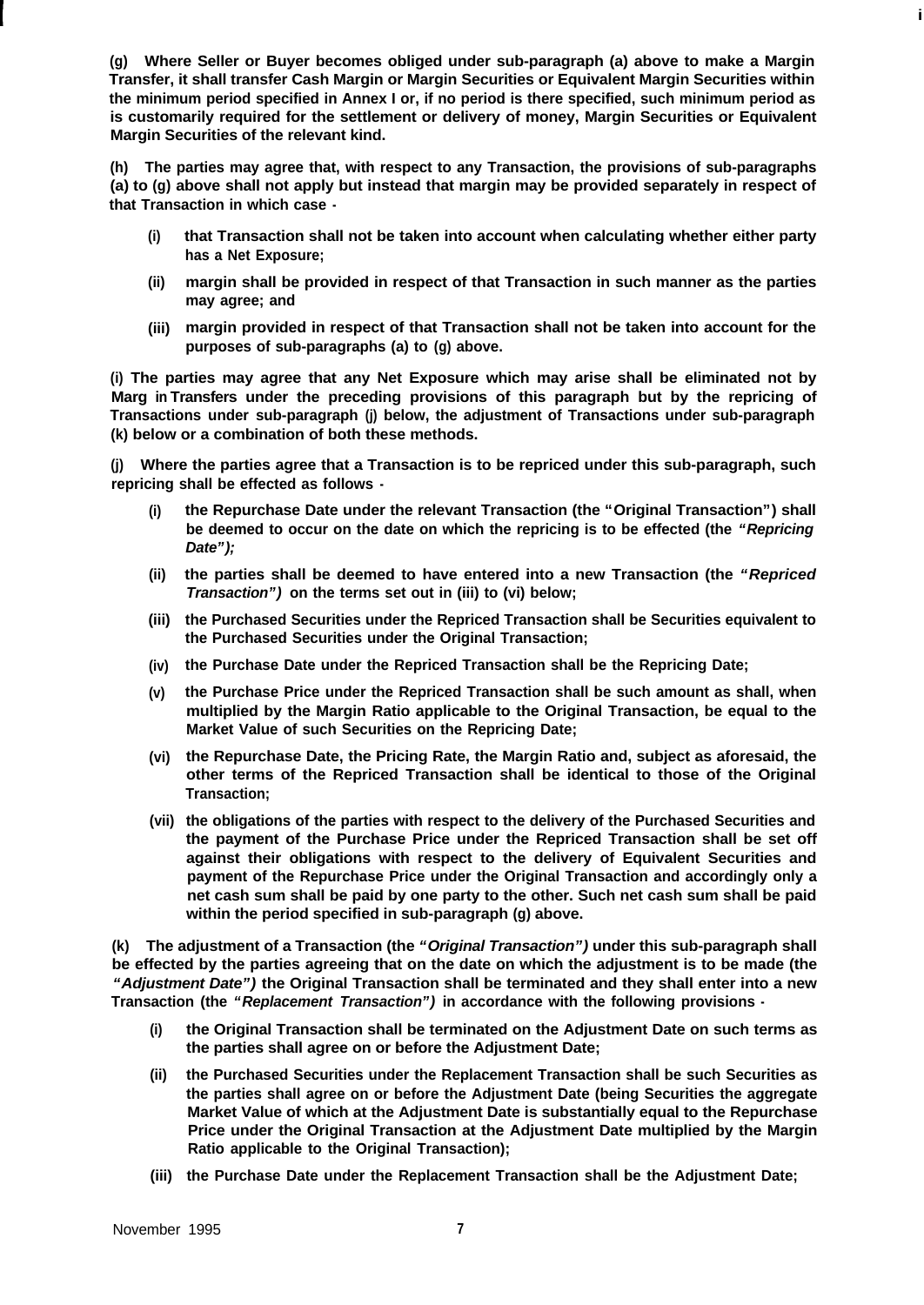**(g) Where Seller or Buyer becomes obliged under sub-paragraph (a) above to make a Margin Transfer, it shall transfer Cash Margin or Margin Securities or Equivalent Margin Securities within the minimum period specified in Annex I or, if no period is there specified, such minimum period as is customarily required for the settlement or delivery of money, Margin Securities or Equivalent Margin Securities of the relevant kind.**

**(h) The parties may agree that, with respect to any Transaction, the provisions of sub-paragraphs (a) to (g) above shall not apply but instead that margin may be provided separately in respect of that Transaction in which case -**

- **(i) that Transaction shall not be taken into account when calculating whether either party has a Net Exposure;**
- **(ii) margin shall be provided in respect of that Transaction in such manner as the parties may agree; and**
- **(iii) margin provided in respect of that Transaction shall not be taken into account for the purposes of sub-paragraphs (a) to (g) above.**

**(i) The parties may agree that any Net Exposure which may arise shall be eliminated not by Marg in Transfers under the preceding provisions of this paragraph but by the repricing of Transactions under sub-paragraph (j) below, the adjustment of Transactions under sub-paragraph (k) below or a combination of both these methods.**

**(j) Where the parties agree that a Transaction is to be repriced under this sub-paragraph, such repricing shall be effected as follows -**

- **(i) the Repurchase Date under the relevant Transaction (the "Original Transaction") shall be deemed to occur on the date on which the repricing is to be effected (the** *"Repricing Date");*
- **(ii) the parties shall be deemed to have entered into a new Transaction (the** *"Repriced Transaction")* **on the terms set out in (iii) to (vi) below;**
- **(iii) the Purchased Securities under the Repriced Transaction shall be Securities equivalent to the Purchased Securities under the Original Transaction;**
- **(iv) the Purchase Date under the Repriced Transaction shall be the Repricing Date;**
- **(v) the Purchase Price under the Repriced Transaction shall be such amount as shall, when multiplied by the Margin Ratio applicable to the Original Transaction, be equal to the Market Value of such Securities on the Repricing Date;**
- **(vi) the Repurchase Date, the Pricing Rate, the Margin Ratio and, subject as aforesaid, the other terms of the Repriced Transaction shall be identical to those of the Original Transaction;**
- **(vii) the obligations of the parties with respect to the delivery of the Purchased Securities and the payment of the Purchase Price under the Repriced Transaction shall be set off against their obligations with respect to the delivery of Equivalent Securities and payment of the Repurchase Price under the Original Transaction and accordingly only a net cash sum shall be paid by one party to the other. Such net cash sum shall be paid within the period specified in sub-paragraph (g) above.**

**(k) The adjustment of a Transaction (the** *"Original Transaction")* **under this sub-paragraph shall be effected by the parties agreeing that on the date on which the adjustment is to be made (the** *"Adjustment Date")* **the Original Transaction shall be terminated and they shall enter into a new Transaction (the** *"Replacement Transaction")* **in accordance with the following provisions -**

- **(i) the Original Transaction shall be terminated on the Adjustment Date on such terms as the parties shall agree on or before the Adjustment Date;**
- **(ii) the Purchased Securities under the Replacement Transaction shall be such Securities as the parties shall agree on or before the Adjustment Date (being Securities the aggregate Market Value of which at the Adjustment Date is substantially equal to the Repurchase Price under the Original Transaction at the Adjustment Date multiplied by the Margin Ratio applicable to the Original Transaction);**
- **(iii) the Purchase Date under the Replacement Transaction shall be the Adjustment Date;**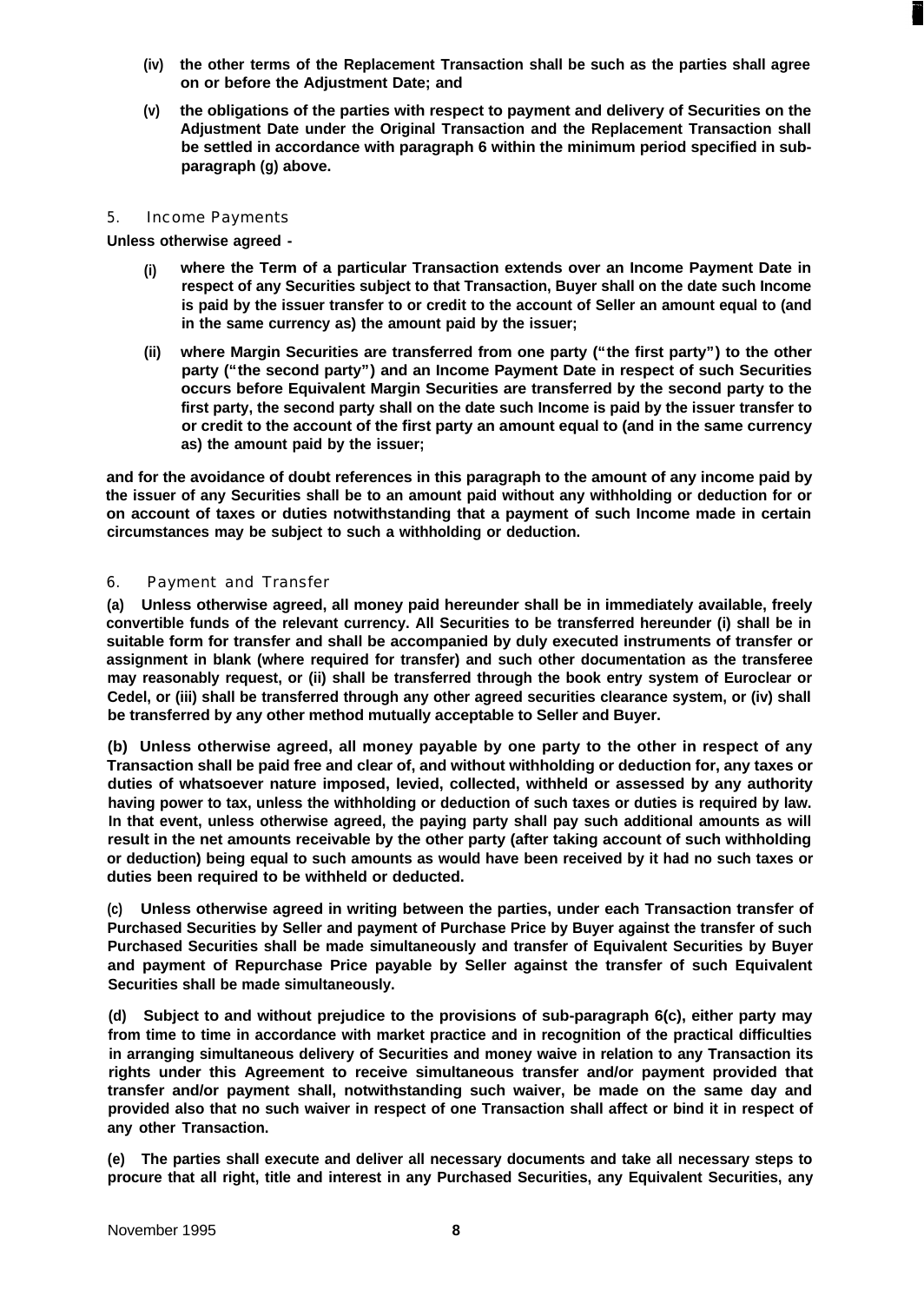- **(iv) the other terms of the Replacement Transaction shall be such as the parties shall agree on or before the Adjustment Date; and**
- **(v) the obligations of the parties with respect to payment and delivery of Securities on the Adjustment Date under the Original Transaction and the Replacement Transaction shall be settled in accordance with paragraph 6 within the minimum period specified in subparagraph (g) above.**

# 5. Income Payments

# **Unless otherwise agreed -**

- **(i) where the Term of a particular Transaction extends over an Income Payment Date in respect of any Securities subject to that Transaction, Buyer shall on the date such Income is paid by the issuer transfer to or credit to the account of Seller an amount equal to (and in the same currency as) the amount paid by the issuer;**
- **(ii) where Margin Securities are transferred from one party ("the first party") to the other party ("the second party") and an Income Payment Date in respect of such Securities occurs before Equivalent Margin Securities are transferred by the second party to the first party, the second party shall on the date such Income is paid by the issuer transfer to or credit to the account of the first party an amount equal to (and in the same currency as) the amount paid by the issuer;**

**and for the avoidance of doubt references in this paragraph to the amount of any income paid by the issuer of any Securities shall be to an amount paid without any withholding or deduction for or on account of taxes or duties notwithstanding that a payment of such Income made in certain circumstances may be subject to such a withholding or deduction.**

# 6. Payment and Transfer

**(a) Unless otherwise agreed, all money paid hereunder shall be in immediately available, freely convertible funds of the relevant currency. All Securities to be transferred hereunder (i) shall be in suitable form for transfer and shall be accompanied by duly executed instruments of transfer or assignment in blank (where required for transfer) and such other documentation as the transferee may reasonably request, or (ii) shall be transferred through the book entry system of Euroclear or Cedel, or (iii) shall be transferred through any other agreed securities clearance system, or (iv) shall be transferred by any other method mutually acceptable to Seller and Buyer.**

**(b) Unless otherwise agreed, all money payable by one party to the other in respect of any Transaction shall be paid free and clear of, and without withholding or deduction for, any taxes or duties of whatsoever nature imposed, levied, collected, withheld or assessed by any authority having power to tax, unless the withholding or deduction of such taxes or duties is required by law. In that event, unless otherwise agreed, the paying party shall pay such additional amounts as will result in the net amounts receivable by the other party (after taking account of such withholding or deduction) being equal to such amounts as would have been received by it had no such taxes or duties been required to be withheld or deducted.**

**(c) Unless otherwise agreed in writing between the parties, under each Transaction transfer of Purchased Securities by Seller and payment of Purchase Price by Buyer against the transfer of such Purchased Securities shall be made simultaneously and transfer of Equivalent Securities by Buyer and payment of Repurchase Price payable by Seller against the transfer of such Equivalent Securities shall be made simultaneously.**

**(d) Subject to and without prejudice to the provisions of sub-paragraph 6(c), either party may from time to time in accordance with market practice and in recognition of the practical difficulties in arranging simultaneous delivery of Securities and money waive in relation to any Transaction its rights under this Agreement to receive simultaneous transfer and/or payment provided that transfer and/or payment shall, notwithstanding such waiver, be made on the same day and provided also that no such waiver in respect of one Transaction shall affect or bind it in respect of any other Transaction.**

**(e) The parties shall execute and deliver all necessary documents and take all necessary steps to procure that all right, title and interest in any Purchased Securities, any Equivalent Securities, any**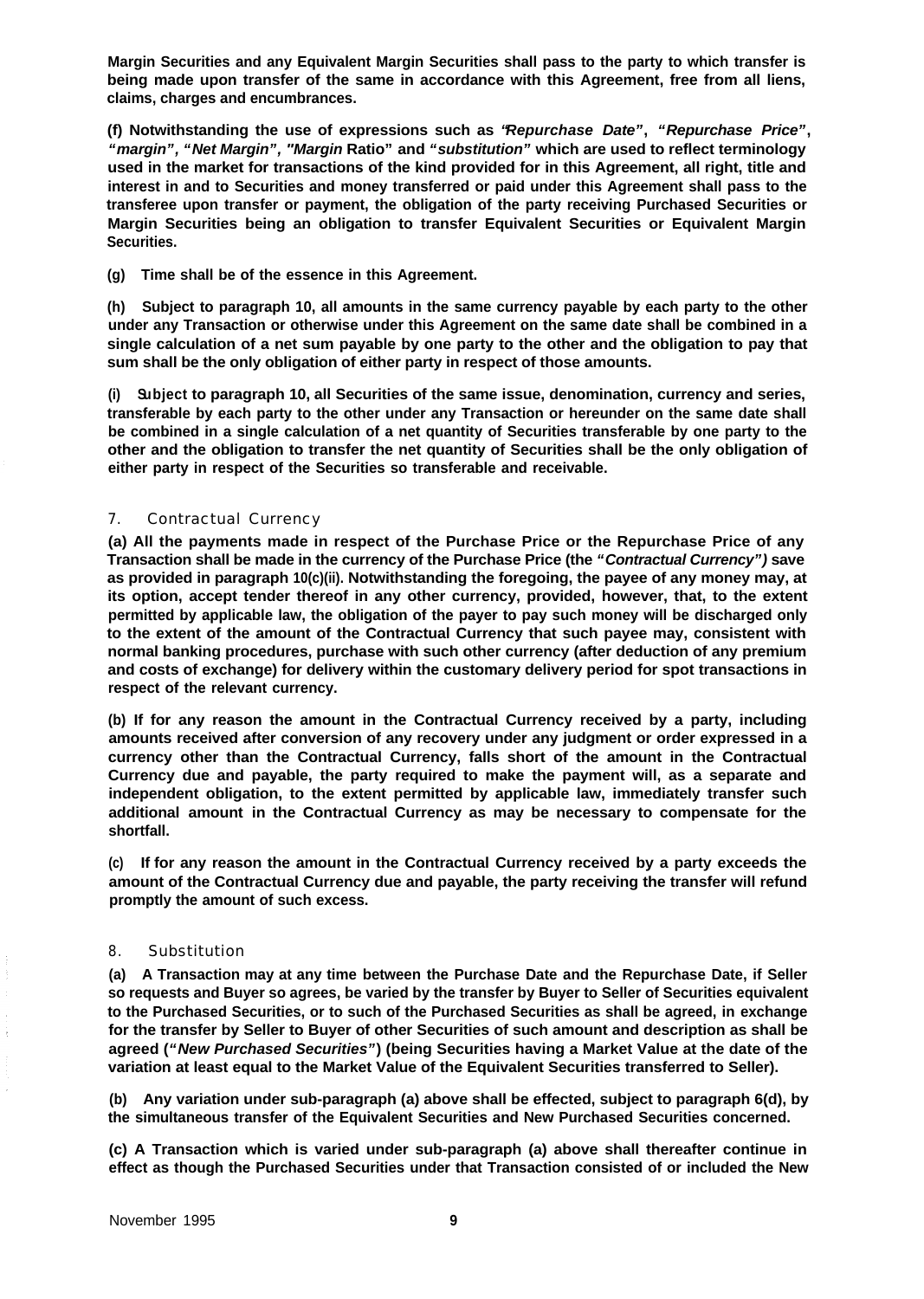**Margin Securities and any Equivalent Margin Securities shall pass to the party to which transfer is being made upon transfer of the same in accordance with this Agreement, free from all liens, claims, charges and encumbrances.**

**(f) Notwithstanding the use of expressions such as** *"Repurchase Date"***,** *"Repurchase Price"***,** *"margin", "Net Margin", "Margin* **Ratio" and** *"substitution"* **which are used to reflect terminology used in the market for transactions of the kind provided for in this Agreement, all right, title and interest in and to Securities and money transferred or paid under this Agreement shall pass to the transferee upon transfer or payment, the obligation of the party receiving Purchased Securities or Margin Securities being an obligation to transfer Equivalent Securities or Equivalent Margin Securities.**

**(g) Time shall be of the essence in this Agreement.**

**(h) Subject to paragraph 10, all amounts in the same currency payable by each party to the other under any Transaction or otherwise under this Agreement on the same date shall be combined in a single calculation of a net sum payable by one party to the other and the obligation to pay that sum shall be the only obligation of either party in respect of those amounts.**

**(i) Subject to paragraph 10, all Securities of the same issue, denomination, currency and series, transferable by each party to the other under any Transaction or hereunder on the same date shall be combined in a single calculation of a net quantity of Securities transferable by one party to the other and the obligation to transfer the net quantity of Securities shall be the only obligation of either party in respect of the Securities so transferable and receivable.**

# 7. Contractual Currency

**(a) All the payments made in respect of the Purchase Price or the Repurchase Price of any Transaction shall be made in the currency of the Purchase Price (the** *"Contractual Currency")* **save as provided in paragraph 10(c)(ii). Notwithstanding the foregoing, the payee of any money may, at its option, accept tender thereof in any other currency, provided, however, that, to the extent permitted by applicable law, the obligation of the payer to pay such money will be discharged only to the extent of the amount of the Contractual Currency that such payee may, consistent with normal banking procedures, purchase with such other currency (after deduction of any premium and costs of exchange) for delivery within the customary delivery period for spot transactions in respect of the relevant currency.**

**(b) If for any reason the amount in the Contractual Currency received by a party, including amounts received after conversion of any recovery under any judgment or order expressed in a currency other than the Contractual Currency, falls short of the amount in the Contractual Currency due and payable, the party required to make the payment will, as a separate and independent obligation, to the extent permitted by applicable law, immediately transfer such additional amount in the Contractual Currency as may be necessary to compensate for the shortfall.**

**(c) If for any reason the amount in the Contractual Currency received by a party exceeds the amount of the Contractual Currency due and payable, the party receiving the transfer will refund promptly the amount of such excess.**

# 8. Substitution

**(a) A Transaction may at any time between the Purchase Date and the Repurchase Date, if Seller so requests and Buyer so agrees, be varied by the transfer by Buyer to Seller of Securities equivalent to the Purchased Securities, or to such of the Purchased Securities as shall be agreed, in exchange for the transfer by Seller to Buyer of other Securities of such amount and description as shall be agreed (***"New Purchased Securities"***) (being Securities having a Market Value at the date of the variation at least equal to the Market Value of the Equivalent Securities transferred to Seller).**

**(b) Any variation under sub-paragraph (a) above shall be effected, subject to paragraph 6(d), by the simultaneous transfer of the Equivalent Securities and New Purchased Securities concerned.**

**(c) A Transaction which is varied under sub-paragraph (a) above shall thereafter continue in effect as though the Purchased Securities under that Transaction consisted of or included the New**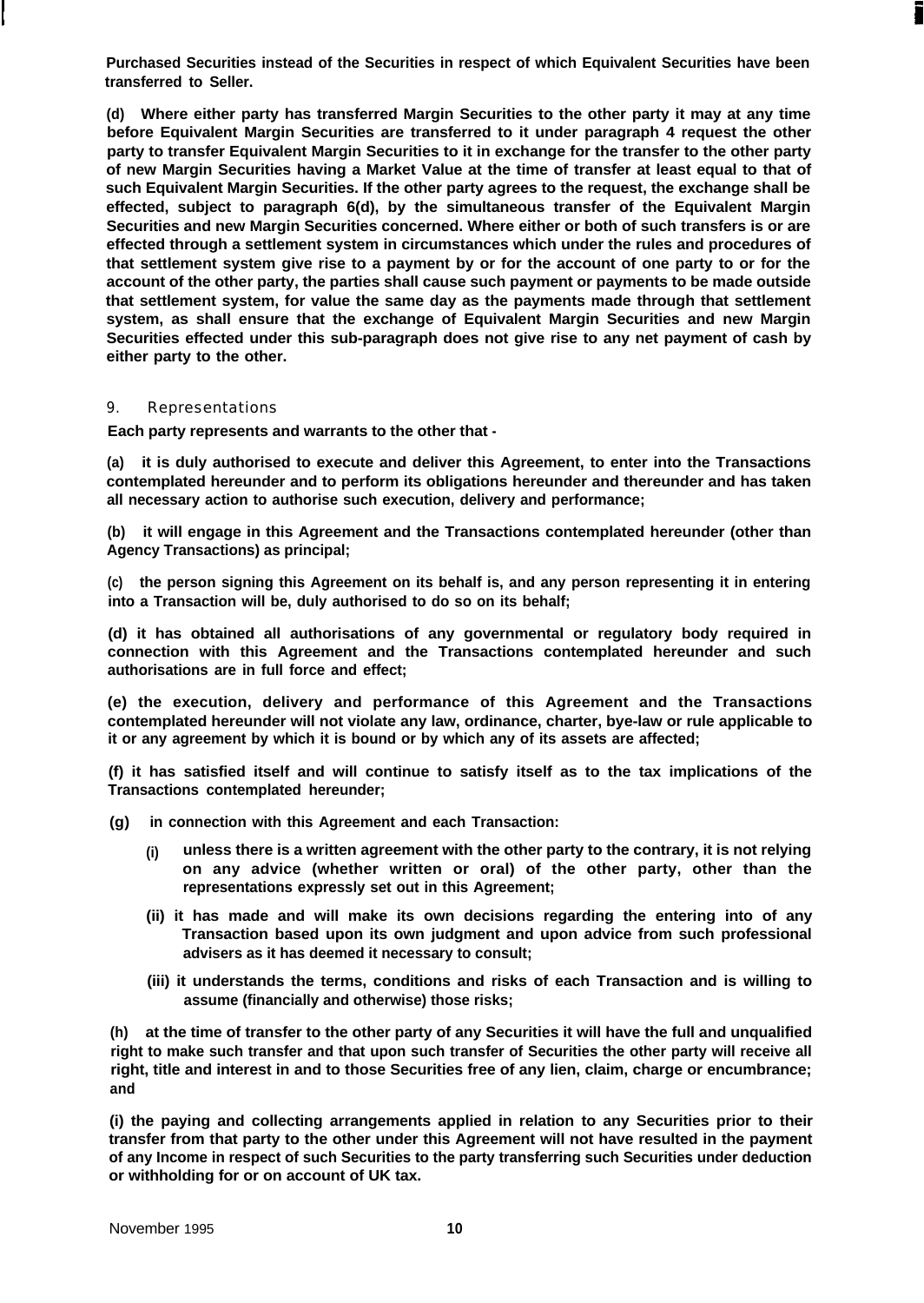**Purchased Securities instead of the Securities in respect of which Equivalent Securities have been transferred to Seller.**

**(d) Where either party has transferred Margin Securities to the other party it may at any time before Equivalent Margin Securities are transferred to it under paragraph 4 request the other party to transfer Equivalent Margin Securities to it in exchange for the transfer to the other party of new Margin Securities having a Market Value at the time of transfer at least equal to that of such Equivalent Margin Securities. If the other party agrees to the request, the exchange shall be effected, subject to paragraph 6(d), by the simultaneous transfer of the Equivalent Margin Securities and new Margin Securities concerned. Where either or both of such transfers is or are effected through a settlement system in circumstances which under the rules and procedures of that settlement system give rise to a payment by or for the account of one party to or for the account of the other party, the parties shall cause such payment or payments to be made outside that settlement system, for value the same day as the payments made through that settlement system, as shall ensure that the exchange of Equivalent Margin Securities and new Margin Securities effected under this sub-paragraph does not give rise to any net payment of cash by either party to the other.**

# 9. Representations

**Each party represents and warrants to the other that -**

**(a) it is duly authorised to execute and deliver this Agreement, to enter into the Transactions contemplated hereunder and to perform its obligations hereunder and thereunder and has taken all necessary action to authorise such execution, delivery and performance;**

**(b) it will engage in this Agreement and the Transactions contemplated hereunder (other than Agency Transactions) as principal;**

**(c) the person signing this Agreement on its behalf is, and any person representing it in entering into a Transaction will be, duly authorised to do so on its behalf;**

**(d) it has obtained all authorisations of any governmental or regulatory body required in connection with this Agreement and the Transactions contemplated hereunder and such authorisations are in full force and effect;**

**(e) the execution, delivery and performance of this Agreement and the Transactions contemplated hereunder will not violate any law, ordinance, charter, bye-law or rule applicable to it or any agreement by which it is bound or by which any of its assets are affected;**

**(f) it has satisfied itself and will continue to satisfy itself as to the tax implications of the Transactions contemplated hereunder;**

- **(g) in connection with this Agreement and each Transaction:**
	- **(i) unless there is a written agreement with the other party to the contrary, it is not relying on any advice (whether written or oral) of the other party, other than the representations expressly set out in this Agreement;**
	- **(ii) it has made and will make its own decisions regarding the entering into of any Transaction based upon its own judgment and upon advice from such professional advisers as it has deemed it necessary to consult;**
	- **(iii) it understands the terms, conditions and risks of each Transaction and is willing to assume (financially and otherwise) those risks;**

**(h) at the time of transfer to the other party of any Securities it will have the full and unqualified right to make such transfer and that upon such transfer of Securities the other party will receive all right, title and interest in and to those Securities free of any lien, claim, charge or encumbrance; and**

**(i) the paying and collecting arrangements applied in relation to any Securities prior to their transfer from that party to the other under this Agreement will not have resulted in the payment of any Income in respect of such Securities to the party transferring such Securities under deduction or withholding for or on account of UK tax.**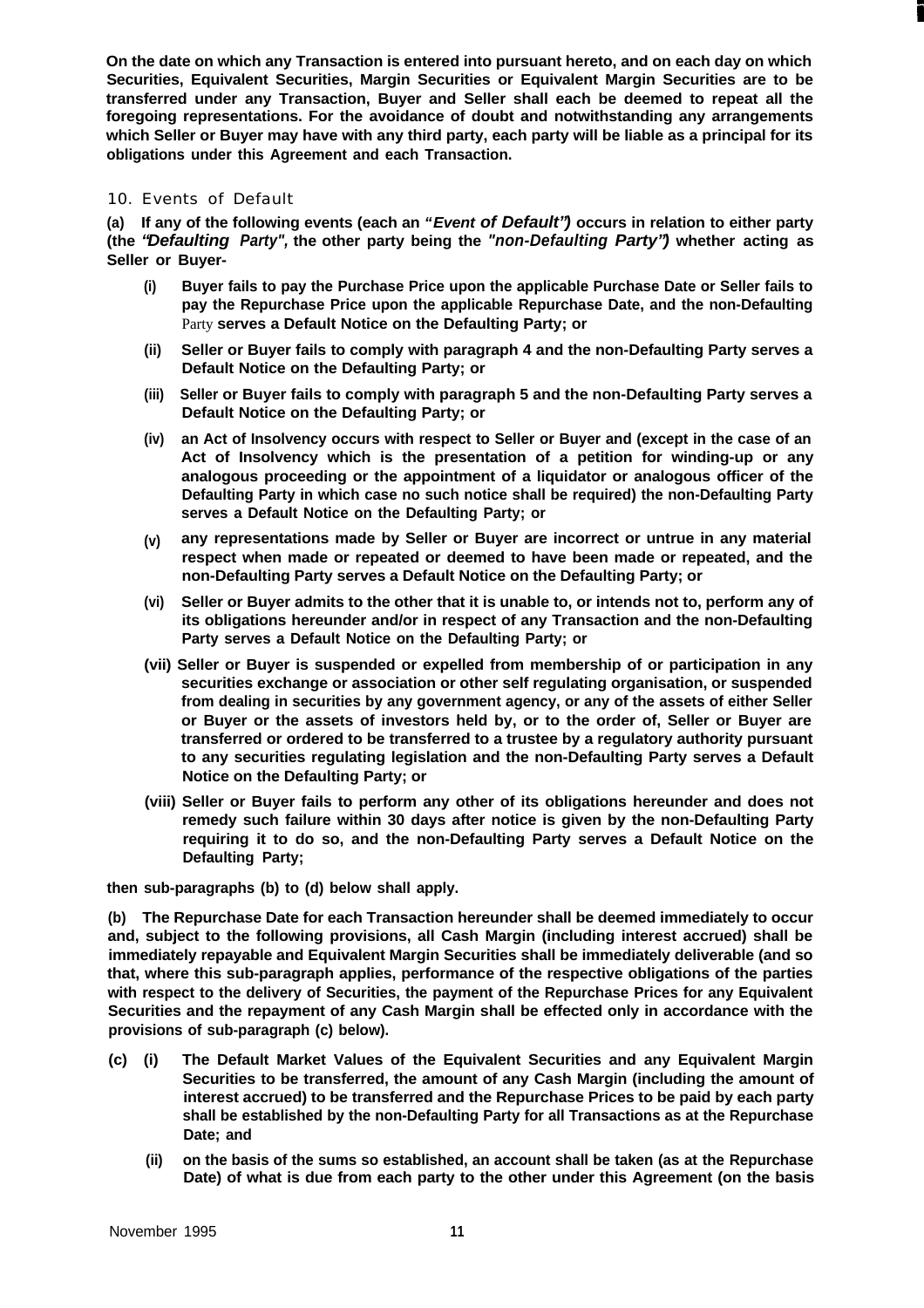**On the date on which any Transaction is entered into pursuant hereto, and on each day on which Securities, Equivalent Securities, Margin Securities or Equivalent Margin Securities are to be transferred under any Transaction, Buyer and Seller shall each be deemed to repeat all the foregoing representations. For the avoidance of doubt and notwithstanding any arrangements which Seller or Buyer may have with any third party, each party will be liable as a principal for its obligations under this Agreement and each Transaction.**

# 10. Events of Default

**(a) If any of the following events (each an** *"Event of Default")* **occurs in relation to either party (the** *"Defaulting Party",* **the other party being the** *"non-Defaulting Party")* **whether acting as Seller or Buyer-**

- **(i) Buyer fails to pay the Purchase Price upon the applicable Purchase Date or Seller fails to pay the Repurchase Price upon the applicable Repurchase Date, and the non-Defaulting** Party **serves a Default Notice on the Defaulting Party; or**
- **(ii) Seller or Buyer fails to comply with paragraph 4 and the non-Defaulting Party serves a Default Notice on the Defaulting Party; or**
- **(iii) Seller or Buyer fails to comply with paragraph 5 and the non-Defaulting Party serves a Default Notice on the Defaulting Party; or**
- **(iv) an Act of Insolvency occurs with respect to Seller or Buyer and (except in the case of an Act of Insolvency which is the presentation of a petition for winding-up or any analogous proceeding or the appointment of a liquidator or analogous officer of the Defaulting Party in which case no such notice shall be required) the non-Defaulting Party serves a Default Notice on the Defaulting Party; or**
- **(v) any representations made by Seller or Buyer are incorrect or untrue in any material respect when made or repeated or deemed to have been made or repeated, and the non-Defaulting Party serves a Default Notice on the Defaulting Party; or**
- **(vi) Seller or Buyer admits to the other that it is unable to, or intends not to, perform any of its obligations hereunder and/or in respect of any Transaction and the non-Defaulting Party serves a Default Notice on the Defaulting Party; or**
- **(vii) Seller or Buyer is suspended or expelled from membership of or participation in any securities exchange or association or other self regulating organisation, or suspended from dealing in securities by any government agency, or any of the assets of either Seller or Buyer or the assets of investors held by, or to the order of, Seller or Buyer are transferred or ordered to be transferred to a trustee by a regulatory authority pursuant to any securities regulating legislation and the non-Defaulting Party serves a Default Notice on the Defaulting Party; or**
- **(viii) Seller or Buyer fails to perform any other of its obligations hereunder and does not remedy such failure within 30 days after notice is given by the non-Defaulting Party requiring it to do so, and the non-Defaulting Party serves a Default Notice on the Defaulting Party;**

**then sub-paragraphs (b) to (d) below shall apply.**

**(b) The Repurchase Date for each Transaction hereunder shall be deemed immediately to occur and, subject to the following provisions, all Cash Margin (including interest accrued) shall be immediately repayable and Equivalent Margin Securities shall be immediately deliverable (and so that, where this sub-paragraph applies, performance of the respective obligations of the parties with respect to the delivery of Securities, the payment of the Repurchase Prices for any Equivalent Securities and the repayment of any Cash Margin shall be effected only in accordance with the provisions of sub-paragraph (c) below).**

- **(c) (i) The Default Market Values of the Equivalent Securities and any Equivalent Margin Securities to be transferred, the amount of any Cash Margin (including the amount of interest accrued) to be transferred and the Repurchase Prices to be paid by each party shall be established by the non-Defaulting Party for all Transactions as at the Repurchase Date; and**
	- **(ii) on the basis of the sums so established, an account shall be taken (as at the Repurchase Date) of what is due from each party to the other under this Agreement (on the basis**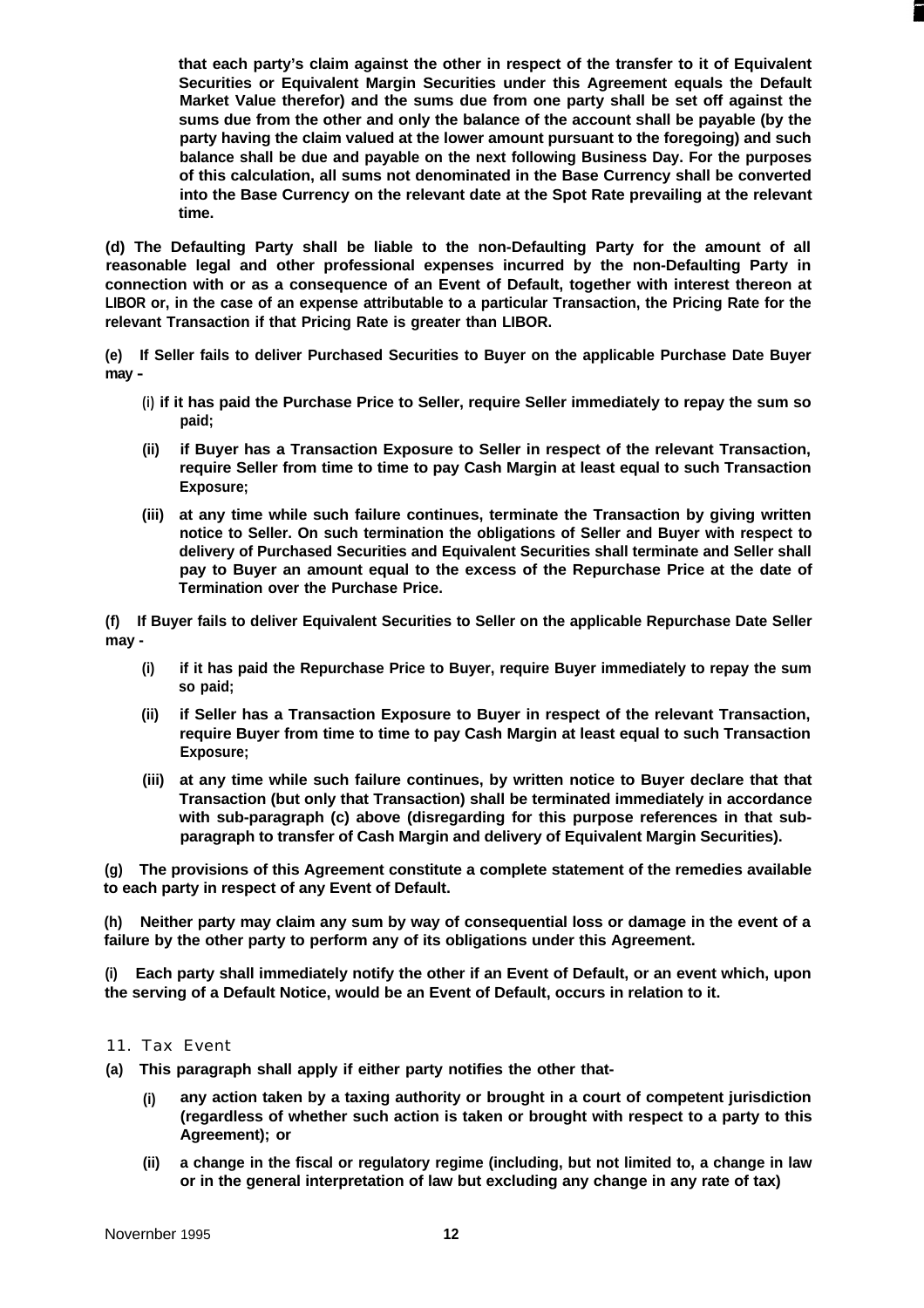**that each party's claim against the other in respect of the transfer to it of Equivalent Securities or Equivalent Margin Securities under this Agreement equals the Default Market Value therefor) and the sums due from one party shall be set off against the sums due from the other and only the balance of the account shall be payable (by the party having the claim valued at the lower amount pursuant to the foregoing) and such balance shall be due and payable on the next following Business Day. For the purposes of this calculation, all sums not denominated in the Base Currency shall be converted into the Base Currency on the relevant date at the Spot Rate prevailing at the relevant time.**

**(d) The Defaulting Party shall be liable to the non-Defaulting Party for the amount of all reasonable legal and other professional expenses incurred by the non-Defaulting Party in connection with or as a consequence of an Event of Default, together with interest thereon at LIBOR or, in the case of an expense attributable to a particular Transaction, the Pricing Rate for the relevant Transaction if that Pricing Rate is greater than LIBOR.**

**(e) If Seller fails to deliver Purchased Securities to Buyer on the applicable Purchase Date Buyer may -**

- **(i) if it has paid the Purchase Price to Seller, require Seller immediately to repay the sum so paid;**
- **(ii) if Buyer has a Transaction Exposure to Seller in respect of the relevant Transaction, require Seller from time to time to pay Cash Margin at least equal to such Transaction Exposure;**
- **(iii) at any time while such failure continues, terminate the Transaction by giving written notice to Seller. On such termination the obligations of Seller and Buyer with respect to delivery of Purchased Securities and Equivalent Securities shall terminate and Seller shall pay to Buyer an amount equal to the excess of the Repurchase Price at the date of Termination over the Purchase Price.**

**(f) If Buyer fails to deliver Equivalent Securities to Seller on the applicable Repurchase Date Seller may -**

- **(i) if it has paid the Repurchase Price to Buyer, require Buyer immediately to repay the sum so paid;**
- **(ii) if Seller has a Transaction Exposure to Buyer in respect of the relevant Transaction, require Buyer from time to time to pay Cash Margin at least equal to such Transaction Exposure;**
- **(iii) at any time while such failure continues, by written notice to Buyer declare that that Transaction (but only that Transaction) shall be terminated immediately in accordance with sub-paragraph (c) above (disregarding for this purpose references in that subparagraph to transfer of Cash Margin and delivery of Equivalent Margin Securities).**

**(g) The provisions of this Agreement constitute a complete statement of the remedies available to each party in respect of any Event of Default.**

**(h) Neither party may claim any sum by way of consequential loss or damage in the event of a failure by the other party to perform any of its obligations under this Agreement.**

**(i) Each party shall immediately notify the other if an Event of Default, or an event which, upon the serving of a Default Notice, would be an Event of Default, occurs in relation to it.**

# 11. Tax Event

- **(a) This paragraph shall apply if either party notifies the other that-**
	- **(i) any action taken by a taxing authority or brought in a court of competent jurisdiction (regardless of whether such action is taken or brought with respect to a party to this Agreement); or**
	- **(ii) a change in the fiscal or regulatory regime (including, but not limited to, a change in law or in the general interpretation of law but excluding any change in any rate of tax)**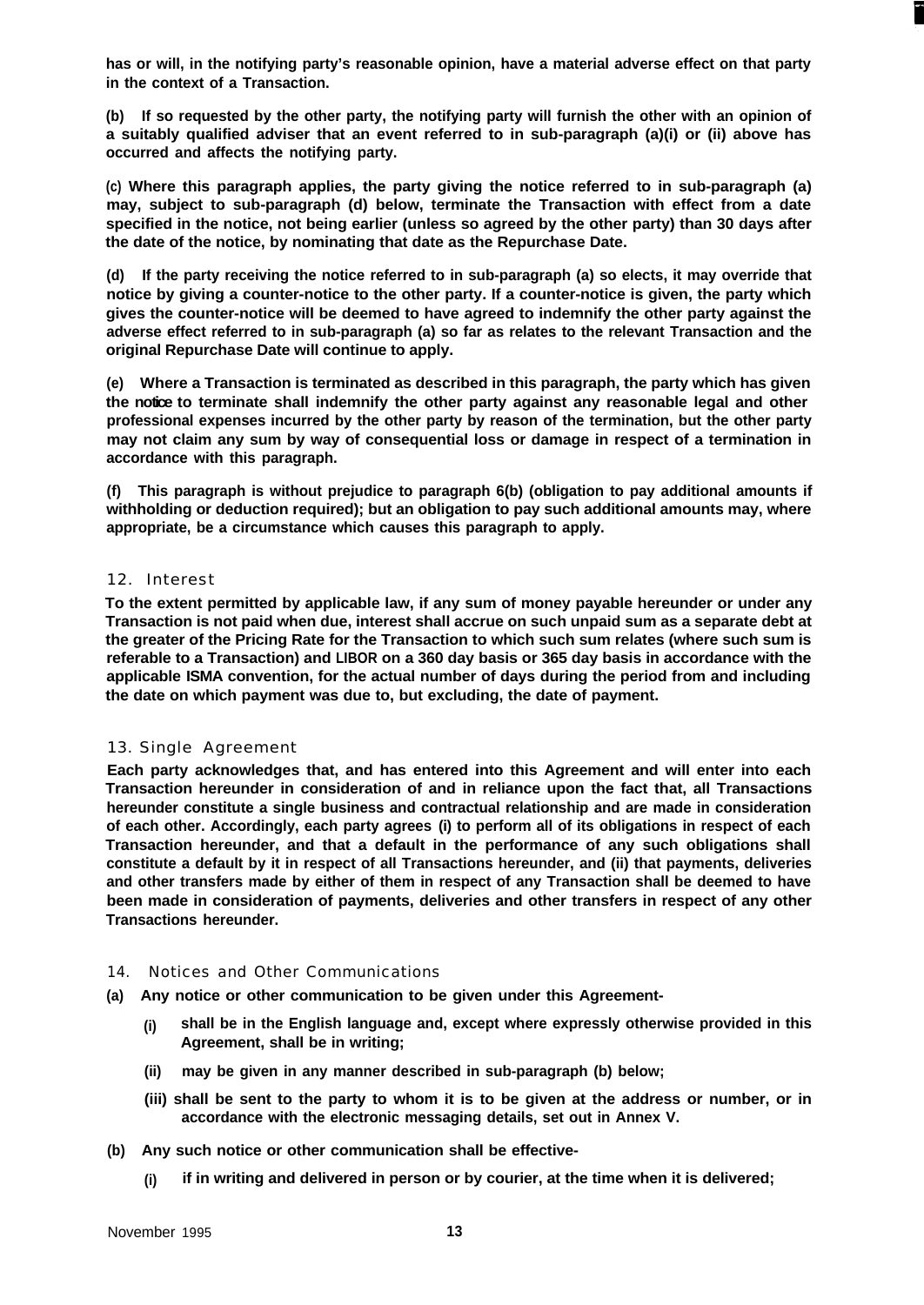**has or will, in the notifying party's reasonable opinion, have a material adverse effect on that party in the context of a Transaction.**

**(b) If so requested by the other party, the notifying party will furnish the other with an opinion of a suitably qualified adviser that an event referred to in sub-paragraph (a)(i) or (ii) above has occurred and affects the notifying party.**

**(c) Where this paragraph applies, the party giving the notice referred to in sub-paragraph (a) may, subject to sub-paragraph (d) below, terminate the Transaction with effect from a date specified in the notice, not being earlier (unless so agreed by the other party) than 30 days after the date of the notice, by nominating that date as the Repurchase Date.**

**(d) If the party receiving the notice referred to in sub-paragraph (a) so elects, it may override that notice by giving a counter-notice to the other party. If a counter-notice is given, the party which gives the counter-notice will be deemed to have agreed to indemnify the other party against the adverse effect referred to in sub-paragraph (a) so far as relates to the relevant Transaction and the original Repurchase Date will continue to apply.**

**(e) Where a Transaction is terminated as described in this paragraph, the party which has given the notice to terminate shall indemnify the other party against any reasonable legal and other professional expenses incurred by the other party by reason of the termination, but the other party may not claim any sum by way of consequential loss or damage in respect of a termination in accordance with this paragraph.**

**(f) This paragraph is without prejudice to paragraph 6(b) (obligation to pay additional amounts if withholding or deduction required); but an obligation to pay such additional amounts may, where appropriate, be a circumstance which causes this paragraph to apply.**

# 12. Interest

**To the extent permitted by applicable law, if any sum of money payable hereunder or under any Transaction is not paid when due, interest shall accrue on such unpaid sum as a separate debt at the greater of the Pricing Rate for the Transaction to which such sum relates (where such sum is referable to a Transaction) and LIBOR on a 360 day basis or 365 day basis in accordance with the applicable ISMA convention, for the actual number of days during the period from and including the date on which payment was due to, but excluding, the date of payment.**

# 13. Single Agreement

**Each party acknowledges that, and has entered into this Agreement and will enter into each Transaction hereunder in consideration of and in reliance upon the fact that, all Transactions hereunder constitute a single business and contractual relationship and are made in consideration of each other. Accordingly, each party agrees (i) to perform all of its obligations in respect of each Transaction hereunder, and that a default in the performance of any such obligations shall constitute a default by it in respect of all Transactions hereunder, and (ii) that payments, deliveries and other transfers made by either of them in respect of any Transaction shall be deemed to have been made in consideration of payments, deliveries and other transfers in respect of any other Transactions hereunder.**

# 14. Notices and Other Communications

- **(a) Any notice or other communication to be given under this Agreement-**
	- **(i) shall be in the English language and, except where expressly otherwise provided in this Agreement, shall be in writing;**
	- **(ii) may be given in any manner described in sub-paragraph (b) below;**
	- **(iii) shall be sent to the party to whom it is to be given at the address or number, or in accordance with the electronic messaging details, set out in Annex V.**
- **(b) Any such notice or other communication shall be effective-**
	- **(i) if in writing and delivered in person or by courier, at the time when it is delivered;**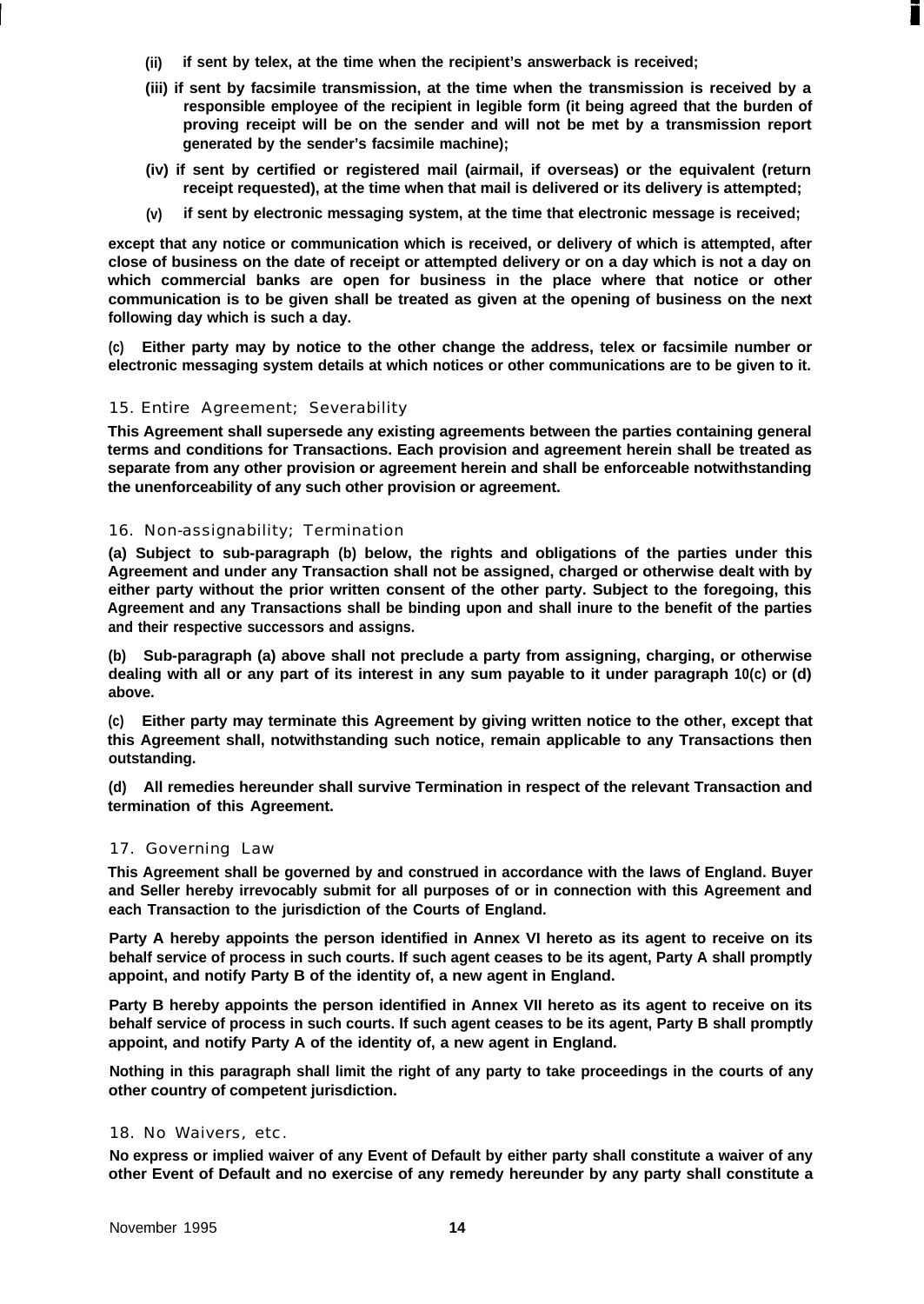- **(ii) if sent by telex, at the time when the recipient's answerback is received;**
- **(iii) if sent by facsimile transmission, at the time when the transmission is received by a responsible employee of the recipient in legible form (it being agreed that the burden of proving receipt will be on the sender and will not be met by a transmission report generated by the sender's facsimile machine);**
- **(iv) if sent by certified or registered mail (airmail, if overseas) or the equivalent (return receipt requested), at the time when that mail is delivered or its delivery is attempted;**
- **(v) if sent by electronic messaging system, at the time that electronic message is received;**

**except that any notice or communication which is received, or delivery of which is attempted, after close of business on the date of receipt or attempted delivery or on a day which is not a day on which commercial banks are open for business in the place where that notice or other communication is to be given shall be treated as given at the opening of business on the next following day which is such a day.**

**(c) Either party may by notice to the other change the address, telex or facsimile number or electronic messaging system details at which notices or other communications are to be given to it.**

# 15. Entire Agreement; Severability

**This Agreement shall supersede any existing agreements between the parties containing general terms and conditions for Transactions. Each provision and agreement herein shall be treated as separate from any other provision or agreement herein and shall be enforceable notwithstanding the unenforceability of any such other provision or agreement.**

## 16. Non-assignability; Termination

**(a) Subject to sub-paragraph (b) below, the rights and obligations of the parties under this Agreement and under any Transaction shall not be assigned, charged or otherwise dealt with by either party without the prior written consent of the other party. Subject to the foregoing, this Agreement and any Transactions shall be binding upon and shall inure to the benefit of the parties and their respective successors and assigns.**

**(b) Sub-paragraph (a) above shall not preclude a party from assigning, charging, or otherwise dealing with all or any part of its interest in any sum payable to it under paragraph 10(c) or (d) above.**

**(c) Either party may terminate this Agreement by giving written notice to the other, except that this Agreement shall, notwithstanding such notice, remain applicable to any Transactions then outstanding.**

**(d) All remedies hereunder shall survive Termination in respect of the relevant Transaction and termination of this Agreement.**

#### 17. Governing Law

**This Agreement shall be governed by and construed in accordance with the laws of England. Buyer and Seller hereby irrevocably submit for all purposes of or in connection with this Agreement and each Transaction to the jurisdiction of the Courts of England.**

**Party A hereby appoints the person identified in Annex VI hereto as its agent to receive on its behalf service of process in such courts. If such agent ceases to be its agent, Party A shall promptly appoint, and notify Party B of the identity of, a new agent in England.**

**Party B hereby appoints the person identified in Annex VII hereto as its agent to receive on its behalf service of process in such courts. If such agent ceases to be its agent, Party B shall promptly appoint, and notify Party A of the identity of, a new agent in England.**

**Nothing in this paragraph shall limit the right of any party to take proceedings in the courts of any other country of competent jurisdiction.**

#### 18. No Waivers, etc.

**No express or implied waiver of any Event of Default by either party shall constitute a waiver of any other Event of Default and no exercise of any remedy hereunder by any party shall constitute a**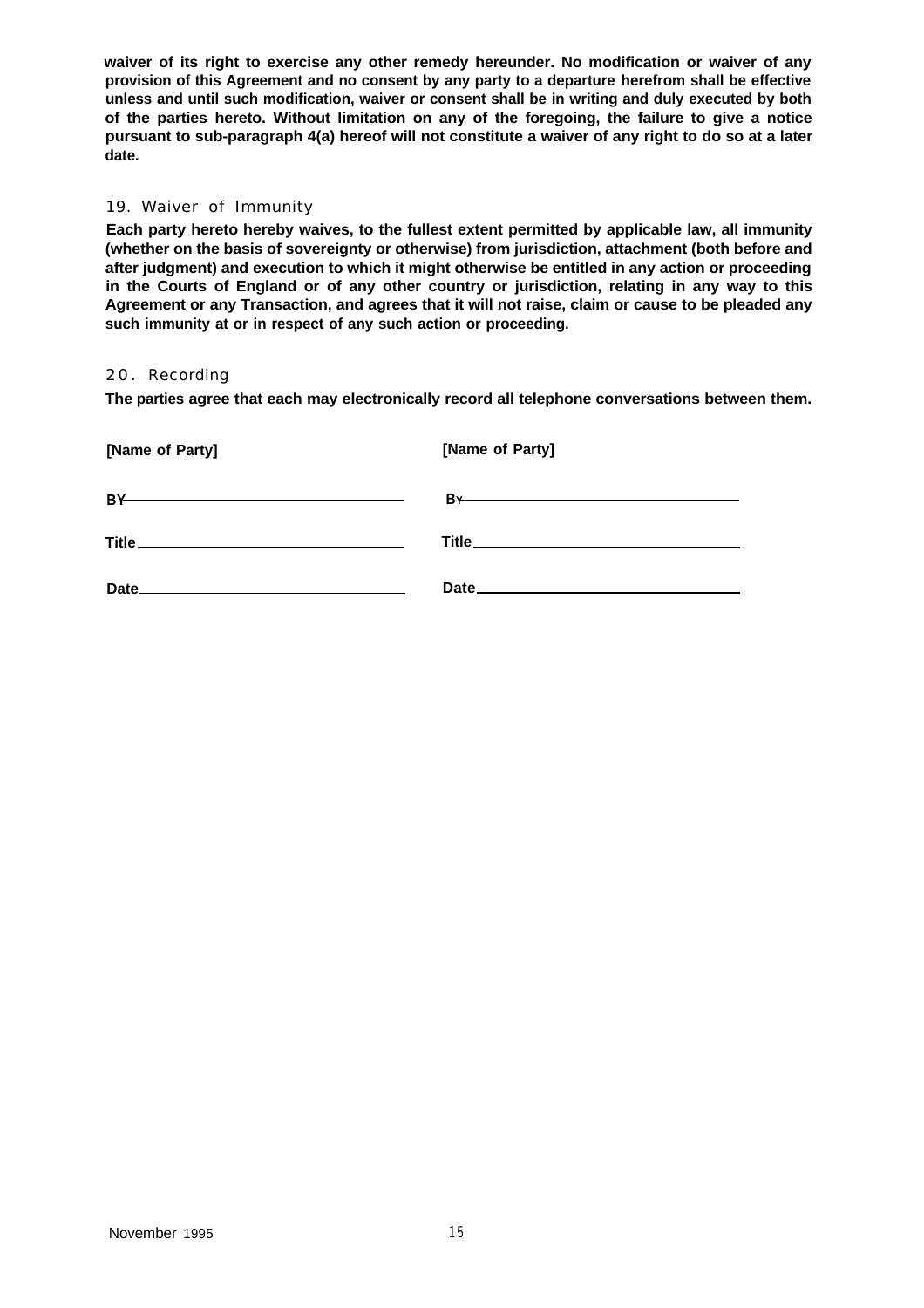**waiver of its right to exercise any other remedy hereunder. No modification or waiver of any provision of this Agreement and no consent by any party to a departure herefrom shall be effective unless and until such modification, waiver or consent shall be in writing and duly executed by both of the parties hereto. Without limitation on any of the foregoing, the failure to give a notice pursuant to sub-paragraph 4(a) hereof will not constitute a waiver of any right to do so at a later date.**

# 19. Waiver of Immunity

**Each party hereto hereby waives, to the fullest extent permitted by applicable law, all immunity (whether on the basis of sovereignty or otherwise) from jurisdiction, attachment (both before and after judgment) and execution to which it might otherwise be entitled in any action or proceeding in the Courts of England or of any other country or jurisdiction, relating in any way to this Agreement or any Transaction, and agrees that it will not raise, claim or cause to be pleaded any such immunity at or in respect of any such action or proceeding.**

# 2 0. Recording

**The parties agree that each may electronically record all telephone conversations between them.**

| [Name of Party] | [Name of Party]                                                                                                                       |
|-----------------|---------------------------------------------------------------------------------------------------------------------------------------|
| BY              | BY                                                                                                                                    |
|                 |                                                                                                                                       |
| Date            | Date <b>Date Date Date Date Date Date Date Date Date Date Date Date Date Date Date Date Date Date Date Date Date Date Date Date D</b> |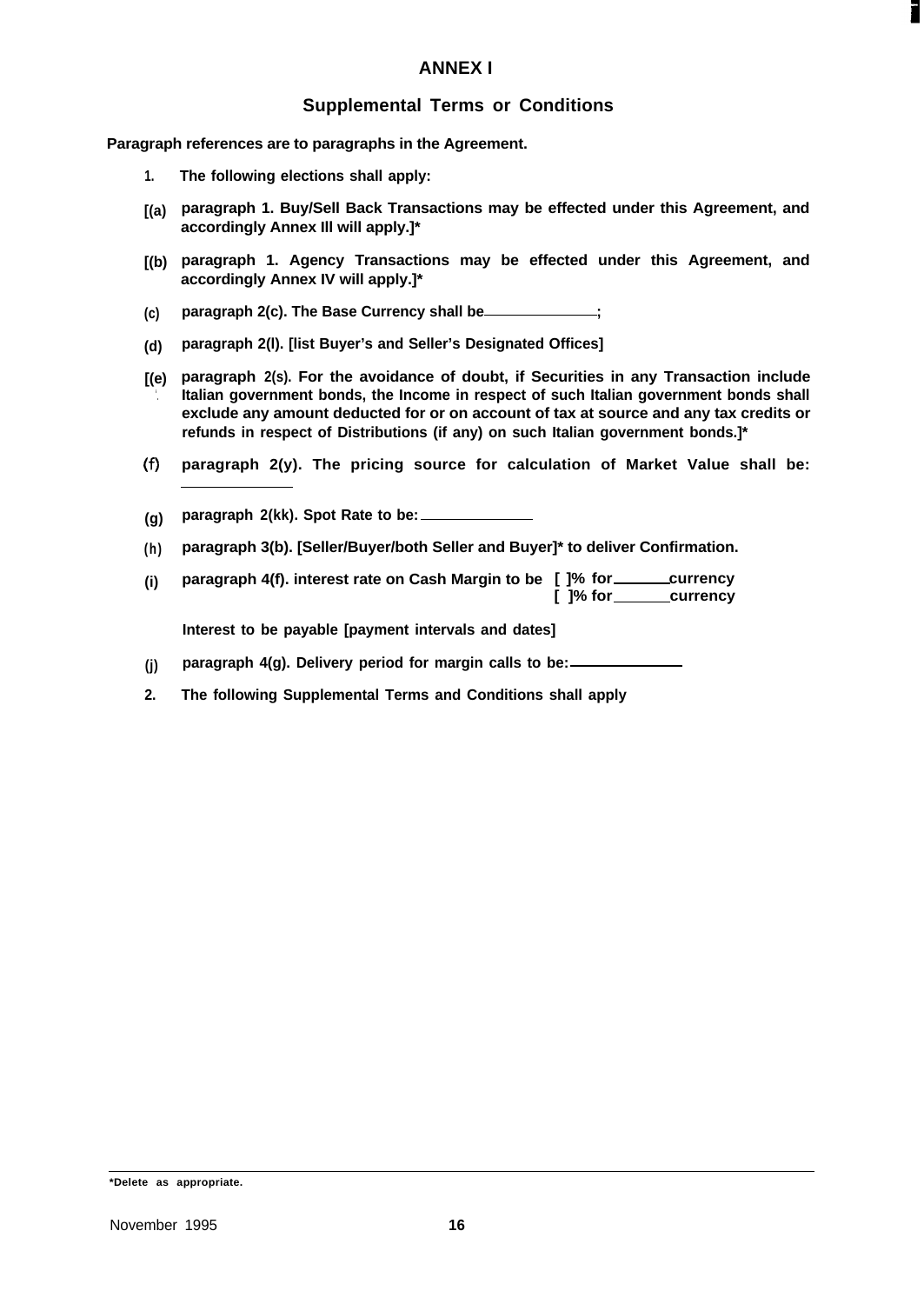# **ANNEX I**

# **Supplemental Terms or Conditions**

**Paragraph references are to paragraphs in the Agreement.**

- **1. The following elections shall apply:**
- **[(a) paragraph 1. Buy/Sell Back Transactions may be effected under this Agreement, and accordingly Annex Ill will apply.]\***
- **[(b) paragraph 1. Agency Transactions may be effected under this Agreement, and accordingly Annex IV will apply.]\***
- **(c)** paragraph 2(c). The Base Currency shall be<sub>-</sub>
- **(d) paragraph 2(l). [list Buyer's and Seller's Designated Offices]**
- **[(e) paragraph 2(s). For the avoidance of doubt, if Securities in any Transaction include** '. **Italian government bonds, the Income in respect of such Italian government bonds shall exclude any amount deducted for or on account of tax at source and any tax credits or refunds in respect of Distributions (if any) on such Italian government bonds.]\***
- $(f)$ **paragraph 2(y). The pricing source for calculation of Market Value shall be:**
- **(g) paragraph 2(kk). Spot Rate to be:**
- **(h) paragraph 3(b). [Seller/Buyer/both Seller and Buyer]\* to deliver Confirmation.**
- **(i) paragraph 4(f). interest rate on Cash Margin to be [ ]% for \_\_\_\_\_\_\_\_currency**  $\frac{1}{2}$  <sup>3</sup>% for currency

**Interest to be payable [payment intervals and dates]**

**(j) paragraph 4(g). Delivery period for margin calls to be:**

**2. The following Supplemental Terms and Conditions shall apply**

**<sup>\*</sup>Delete as appropriate.**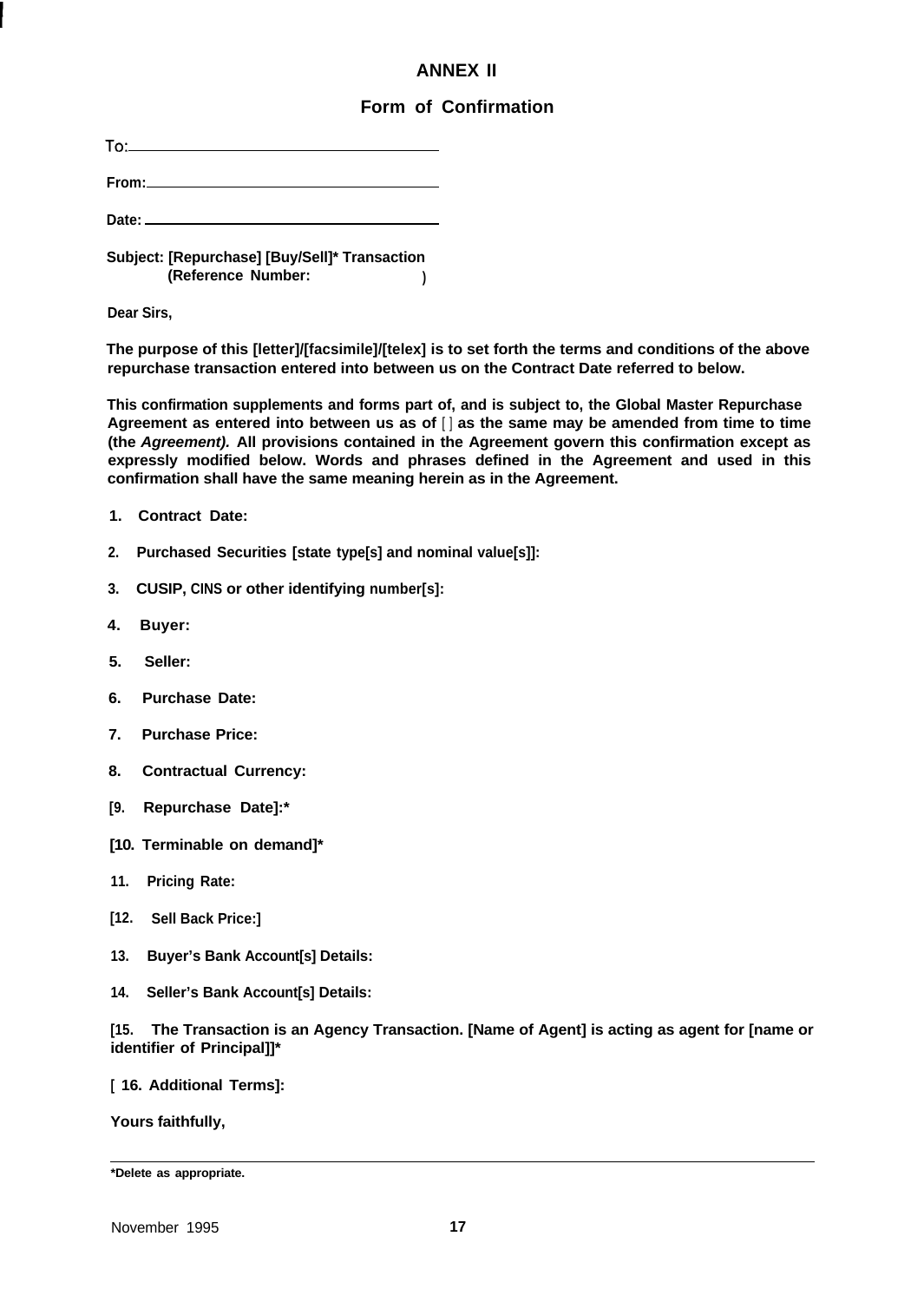# **ANNEX II**

# **Form of Confirmation**

 $To:=$ **From:**

**Date:**

**Subject: [Repurchase] [Buy/Sell]\* Transaction (Reference Number: )**

**Dear Sirs,**

**The purpose of this [letter]/[facsimile]/[telex] is to set forth the terms and conditions of the above repurchase transaction entered into between us on the Contract Date referred to below.**

**This confirmation supplements and forms part of, and is subject to, the Global Master Repurchase Agreement as entered into between us as of** [ ] **as the same may be amended from time to time (the** *Agreement).* **All provisions contained in the Agreement govern this confirmation except as expressly modified below. Words and phrases defined in the Agreement and used in this confirmation shall have the same meaning herein as in the Agreement.**

- **1. Contract Date:**
- **2. Purchased Securities [state type[s] and nominal value[s]]:**
- **3. CUSIP, CINS or other identifying number[s]:**
- **4. Buyer:**
- **5. Seller:**
- **6. Purchase Date:**
- **7. Purchase Price:**
- **8. Contractual Currency:**
- **[9. Repurchase Date]:\***
- **[10. Terminable on demand]\***
- **11. Pricing Rate:**
- **[12. Sell Back Price:]**
- **13. Buyer's Bank Account[s] Details:**
- **14. Seller's Bank Account[s] Details:**

**[15. The Transaction is an Agency Transaction. [Name of Agent] is acting as agent for [name or identifier of Principal]]\***

**[ 16. Additional Terms]:**

**Yours faithfully,**

**<sup>\*</sup>Delete as appropriate.**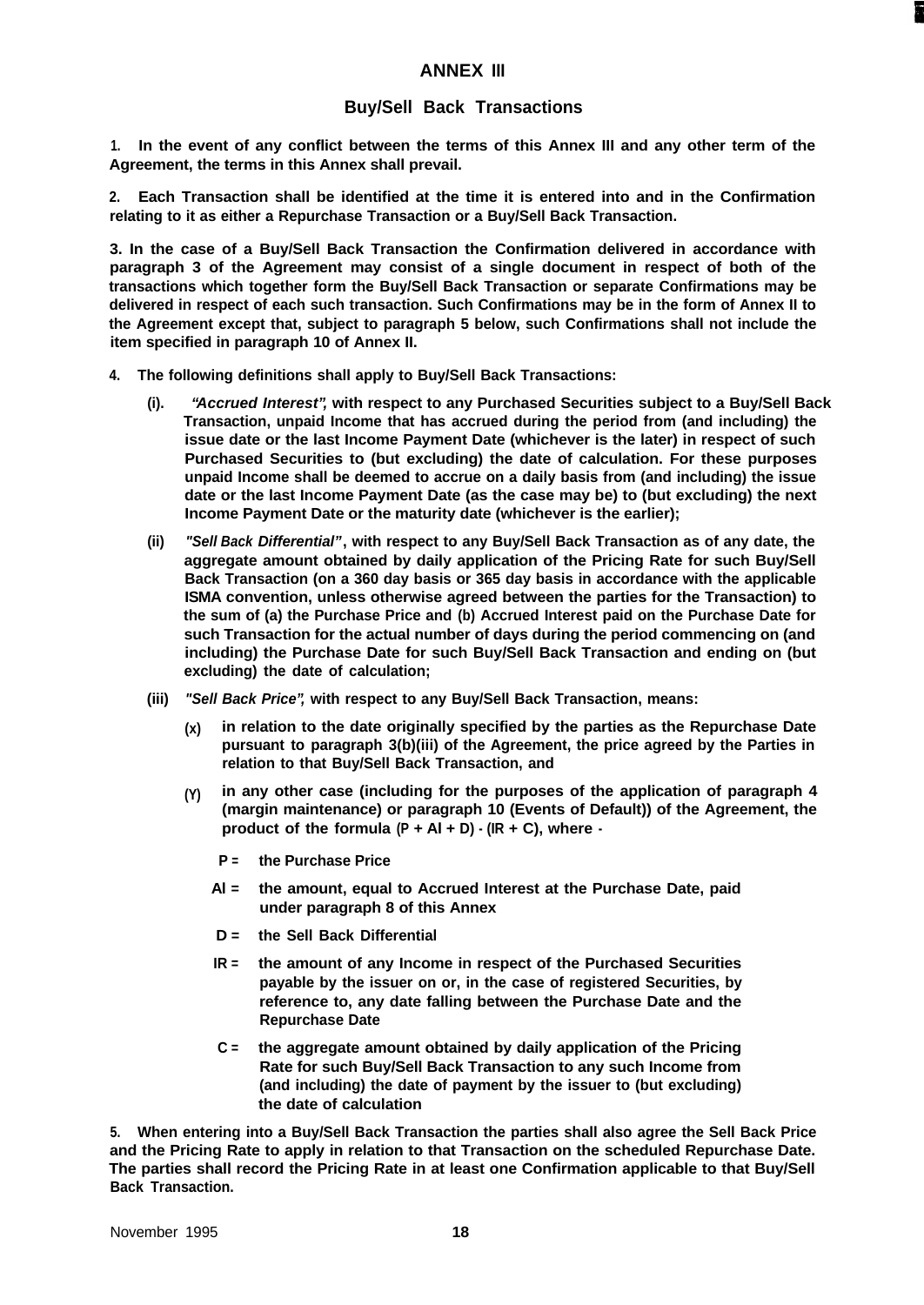# **ANNEX III**

# **Buy/Sell Back Transactions**

**1. In the event of any conflict between the terms of this Annex III and any other term of the Agreement, the terms in this Annex shall prevail.**

**2. Each Transaction shall be identified at the time it is entered into and in the Confirmation relating to it as either a Repurchase Transaction or a Buy/Sell Back Transaction.**

**3. In the case of a Buy/Sell Back Transaction the Confirmation delivered in accordance with paragraph 3 of the Agreement may consist of a single document in respect of both of the transactions which together form the Buy/Sell Back Transaction or separate Confirmations may be delivered in respect of each such transaction. Such Confirmations may be in the form of Annex II to the Agreement except that, subject to paragraph 5 below, such Confirmations shall not include the item specified in paragraph 10 of Annex II.**

- **4. The following definitions shall apply to Buy/Sell Back Transactions:**
	- **(i).** *"Accrued Interest",* **with respect to any Purchased Securities subject to a Buy/Sell Back Transaction, unpaid Income that has accrued during the period from (and including) the issue date or the last Income Payment Date (whichever is the later) in respect of such Purchased Securities to (but excluding) the date of calculation. For these purposes unpaid Income shall be deemed to accrue on a daily basis from (and including) the issue date or the last Income Payment Date (as the case may be) to (but excluding) the next Income Payment Date or the maturity date (whichever is the earlier);**
	- **(ii)** *"Sell Back Differential"***, with respect to any Buy/Sell Back Transaction as of any date, the aggregate amount obtained by daily application of the Pricing Rate for such Buy/Sell Back Transaction (on a 360 day basis or 365 day basis in accordance with the applicable ISMA convention, unless otherwise agreed between the parties for the Transaction) to the sum of (a) the Purchase Price and (b) Accrued Interest paid on the Purchase Date for such Transaction for the actual number of days during the period commencing on (and including) the Purchase Date for such Buy/Sell Back Transaction and ending on (but excluding) the date of calculation;**
	- **(iii)** *"Sell Back Price",* **with respect to any Buy/Sell Back Transaction, means:**
		- **(x) in relation to the date originally specified by the parties as the Repurchase Date pursuant to paragraph 3(b)(iii) of the Agreement, the price agreed by the Parties in relation to that Buy/Sell Back Transaction, and**
		- **(Y) in any other case (including for the purposes of the application of paragraph 4 (margin maintenance) or paragraph 10 (Events of Default)) of the Agreement, the product of the formula (P + Al + D) - (IR + C), where -**
			- **P = the Purchase Price**
			- **Al = the amount, equal to Accrued Interest at the Purchase Date, paid under paragraph 8 of this Annex**
			- **D = the Sell Back Differential**
			- **IR = the amount of any Income in respect of the Purchased Securities payable by the issuer on or, in the case of registered Securities, by reference to, any date falling between the Purchase Date and the Repurchase Date**
			- **C = the aggregate amount obtained by daily application of the Pricing Rate for such Buy/Sell Back Transaction to any such Income from (and including) the date of payment by the issuer to (but excluding) the date of calculation**

**5. When entering into a Buy/Sell Back Transaction the parties shall also agree the Sell Back Price and the Pricing Rate to apply in relation to that Transaction on the scheduled Repurchase Date. The parties shall record the Pricing Rate in at least one Confirmation applicable to that Buy/Sell Back Transaction.**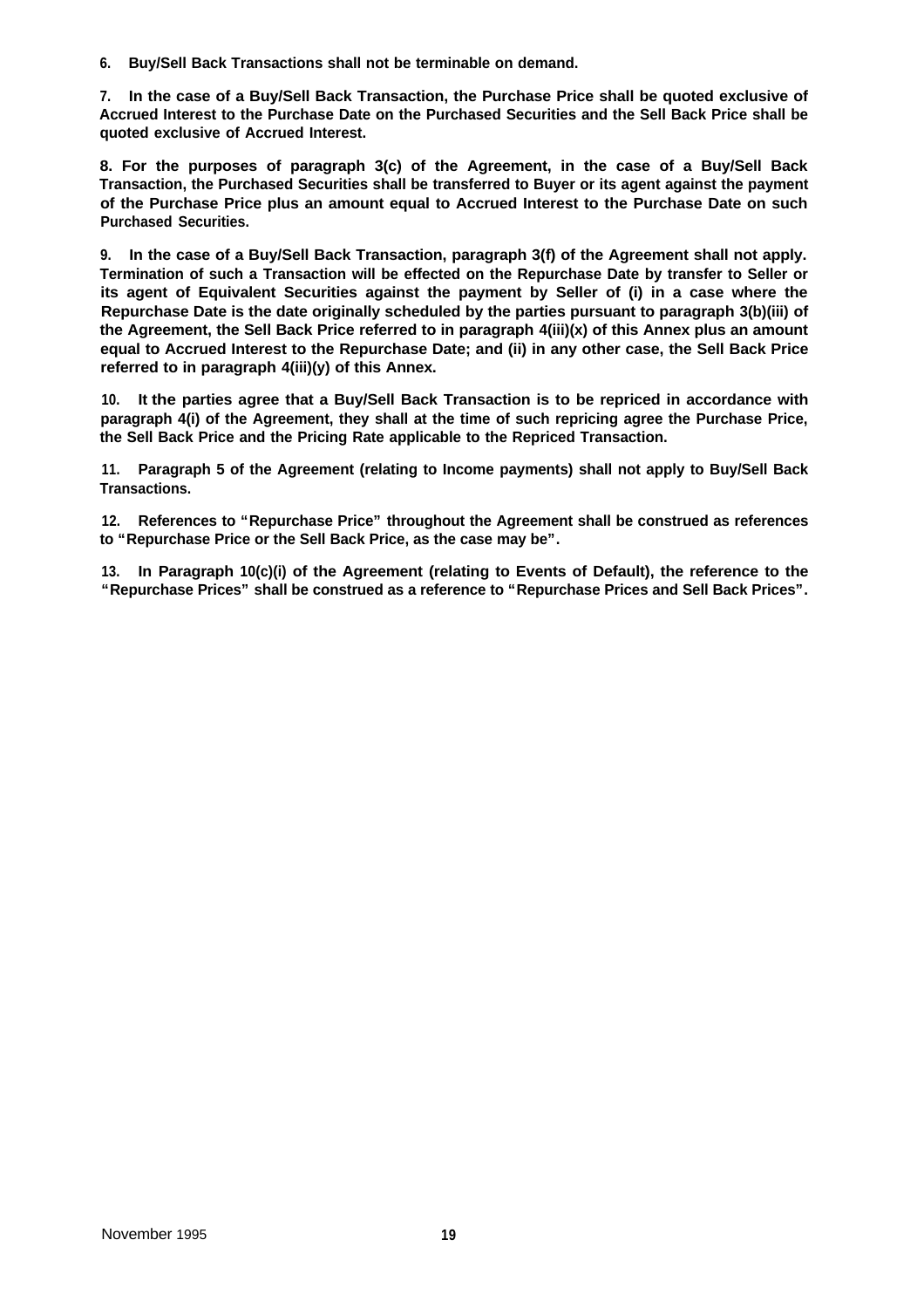**6. Buy/Sell Back Transactions shall not be terminable on demand.**

**7. In the case of a Buy/Sell Back Transaction, the Purchase Price shall be quoted exclusive of Accrued Interest to the Purchase Date on the Purchased Securities and the Sell Back Price shall be quoted exclusive of Accrued Interest.**

**8. For the purposes of paragraph 3(c) of the Agreement, in the case of a Buy/Sell Back Transaction, the Purchased Securities shall be transferred to Buyer or its agent against the payment of the Purchase Price plus an amount equal to Accrued Interest to the Purchase Date on such Purchased Securities.**

**9. In the case of a Buy/Sell Back Transaction, paragraph 3(f) of the Agreement shall not apply. Termination of such a Transaction will be effected on the Repurchase Date by transfer to Seller or its agent of Equivalent Securities against the payment by Seller of (i) in a case where the Repurchase Date is the date originally scheduled by the parties pursuant to paragraph 3(b)(iii) of the Agreement, the Sell Back Price referred to in paragraph 4(iii)(x) of this Annex plus an amount equal to Accrued Interest to the Repurchase Date; and (ii) in any other case, the Sell Back Price referred to in paragraph 4(iii)(y) of this Annex.**

**10. It the parties agree that a Buy/Sell Back Transaction is to be repriced in accordance with paragraph 4(i) of the Agreement, they shall at the time of such repricing agree the Purchase Price, the Sell Back Price and the Pricing Rate applicable to the Repriced Transaction.**

**11. Paragraph 5 of the Agreement (relating to Income payments) shall not apply to Buy/Sell Back Transactions.**

**12. References to "Repurchase Price" throughout the Agreement shall be construed as references to "Repurchase Price or the Sell Back Price, as the case may be".**

**13. In Paragraph 10(c)(i) of the Agreement (relating to Events of Default), the reference to the "Repurchase Prices" shall be construed as a reference to "Repurchase Prices and Sell Back Prices".**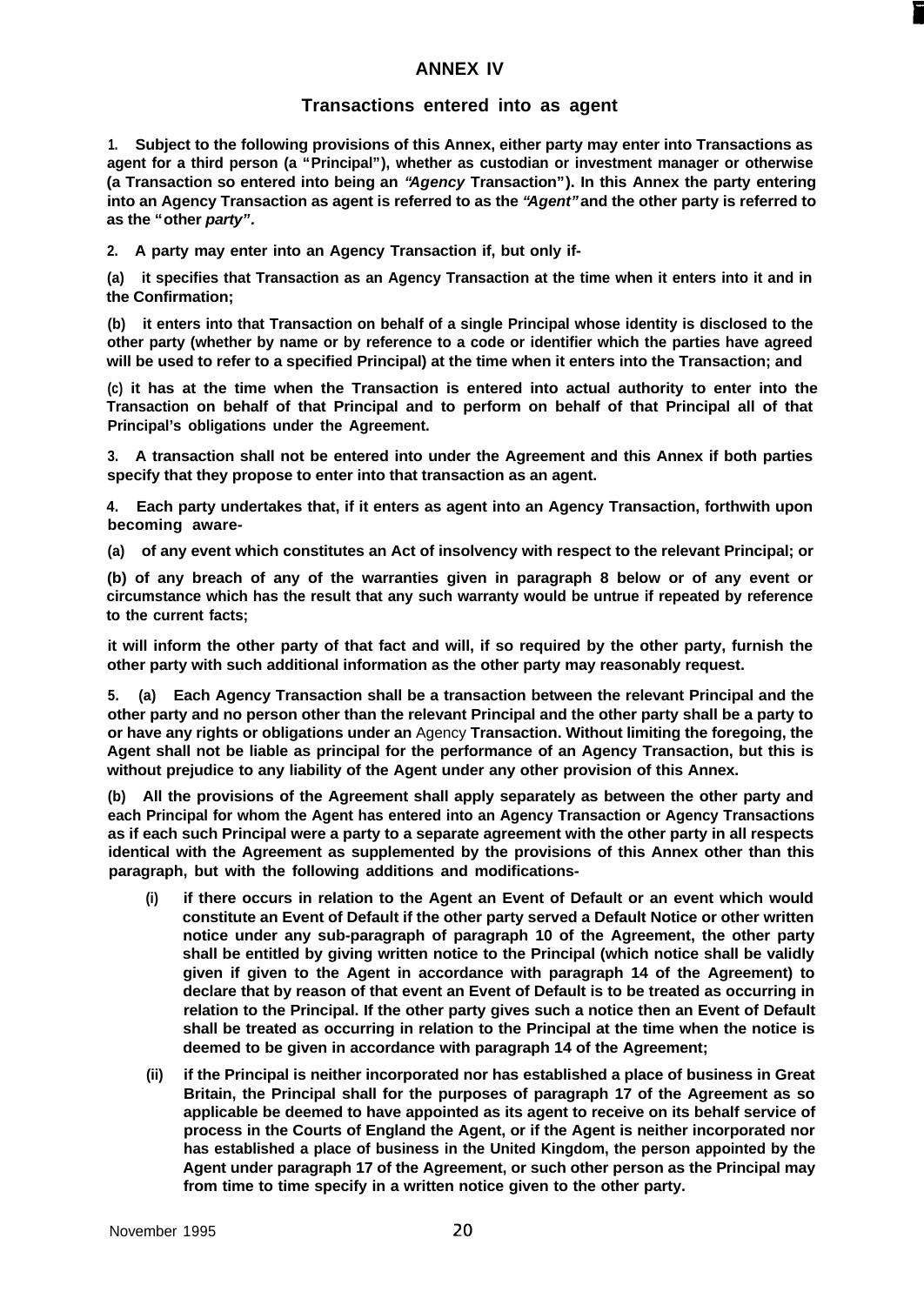# **ANNEX IV**

# **Transactions entered into as agent**

**1. Subject to the following provisions of this Annex, either party may enter into Transactions as agent for a third person (a "Principal"), whether as custodian or investment manager or otherwise (a Transaction so entered into being an** *"Agency* **Transaction"). In this Annex the party entering into an Agency Transaction as agent is referred to as the** *"Agent"***and the other party is referred to as the "other** *party".*

**2. A party may enter into an Agency Transaction if, but only if-**

**(a) it specifies that Transaction as an Agency Transaction at the time when it enters into it and in the Confirmation;**

**(b) it enters into that Transaction on behalf of a single Principal whose identity is disclosed to the other party (whether by name or by reference to a code or identifier which the parties have agreed will be used to refer to a specified Principal) at the time when it enters into the Transaction; and**

**(c) it has at the time when the Transaction is entered into actual authority to enter into the Transaction on behalf of that Principal and to perform on behalf of that Principal all of that Principal's obligations under the Agreement.**

**3. A transaction shall not be entered into under the Agreement and this Annex if both parties specify that they propose to enter into that transaction as an agent.**

**4. Each party undertakes that, if it enters as agent into an Agency Transaction, forthwith upon becoming aware-**

**(a) of any event which constitutes an Act of insolvency with respect to the relevant Principal; or**

**(b) of any breach of any of the warranties given in paragraph 8 below or of any event or circumstance which has the result that any such warranty would be untrue if repeated by reference to the current facts;**

**it will inform the other party of that fact and will, if so required by the other party, furnish the other party with such additional information as the other party may reasonably request.**

**5. (a) Each Agency Transaction shall be a transaction between the relevant Principal and the other party and no person other than the relevant Principal and the other party shall be a party to or have any rights or obligations under an** Agency **Transaction. Without limiting the foregoing, the Agent shall not be liable as principal for the performance of an Agency Transaction, but this is without prejudice to any liability of the Agent under any other provision of this Annex.**

**(b) All the provisions of the Agreement shall apply separately as between the other party and each Principal for whom the Agent has entered into an Agency Transaction or Agency Transactions as if each such Principal were a party to a separate agreement with the other party in all respects identical with the Agreement as supplemented by the provisions of this Annex other than this paragraph, but with the following additions and modifications-**

- **(i) if there occurs in relation to the Agent an Event of Default or an event which would constitute an Event of Default if the other party served a Default Notice or other written notice under any sub-paragraph of paragraph 10 of the Agreement, the other party shall be entitled by giving written notice to the Principal (which notice shall be validly given if given to the Agent in accordance with paragraph 14 of the Agreement) to declare that by reason of that event an Event of Default is to be treated as occurring in relation to the Principal. If the other party gives such a notice then an Event of Default shall be treated as occurring in relation to the Principal at the time when the notice is deemed to be given in accordance with paragraph 14 of the Agreement;**
- **(ii) if the Principal is neither incorporated nor has established a place of business in Great Britain, the Principal shall for the purposes of paragraph 17 of the Agreement as so applicable be deemed to have appointed as its agent to receive on its behalf service of process in the Courts of England the Agent, or if the Agent is neither incorporated nor has established a place of business in the United Kingdom, the person appointed by the Agent under paragraph 17 of the Agreement, or such other person as the Principal may from time to time specify in a written notice given to the other party.**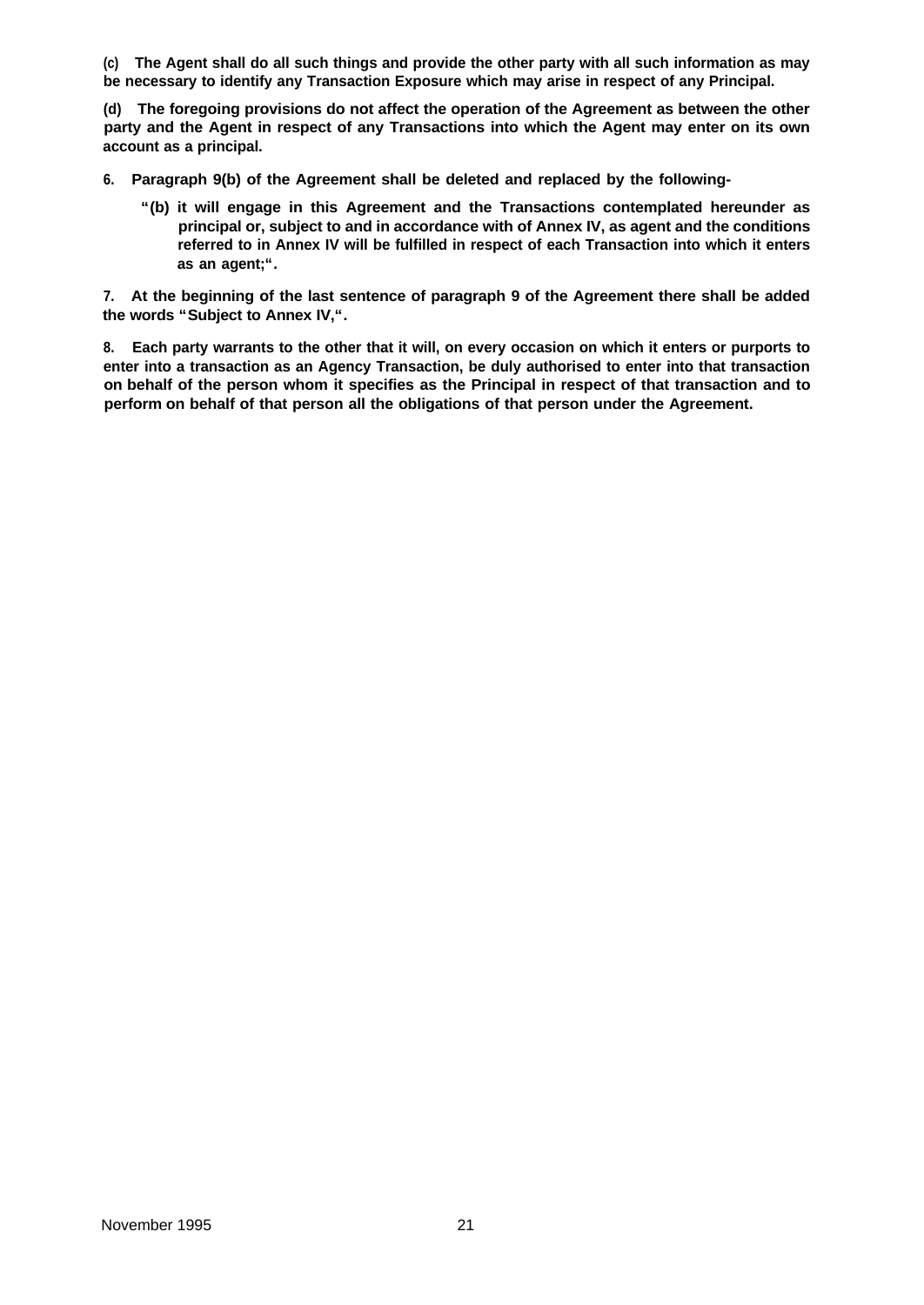**(c) The Agent shall do all such things and provide the other party with all such information as may be necessary to identify any Transaction Exposure which may arise in respect of any Principal.**

**(d) The foregoing provisions do not affect the operation of the Agreement as between the other party and the Agent in respect of any Transactions into which the Agent may enter on its own account as a principal.**

- **6. Paragraph 9(b) of the Agreement shall be deleted and replaced by the following-**
	- **"(b) it will engage in this Agreement and the Transactions contemplated hereunder as principal or, subject to and in accordance with of Annex IV, as agent and the conditions referred to in Annex IV will be fulfilled in respect of each Transaction into which it enters as an agent;".**

**7. At the beginning of the last sentence of paragraph 9 of the Agreement there shall be added the words "Subject to Annex IV,".**

**8. Each party warrants to the other that it will, on every occasion on which it enters or purports to enter into a transaction as an Agency Transaction, be duly authorised to enter into that transaction on behalf of the person whom it specifies as the Principal in respect of that transaction and to perform on behalf of that person all the obligations of that person under the Agreement.**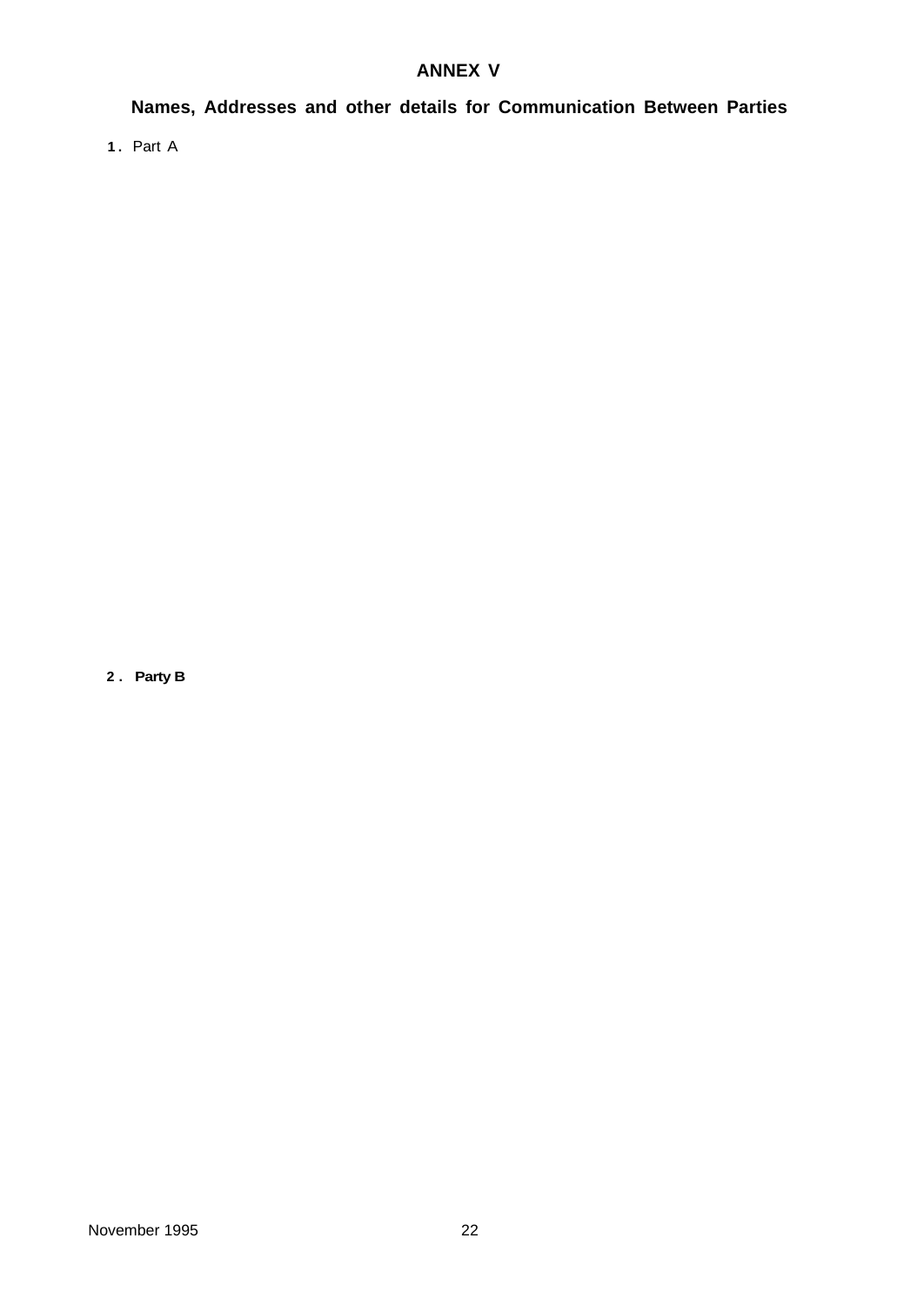# **ANNEX V**

**Names, Addresses and other details for Communication Between Parties**

**1.** Part A

**2. Party B**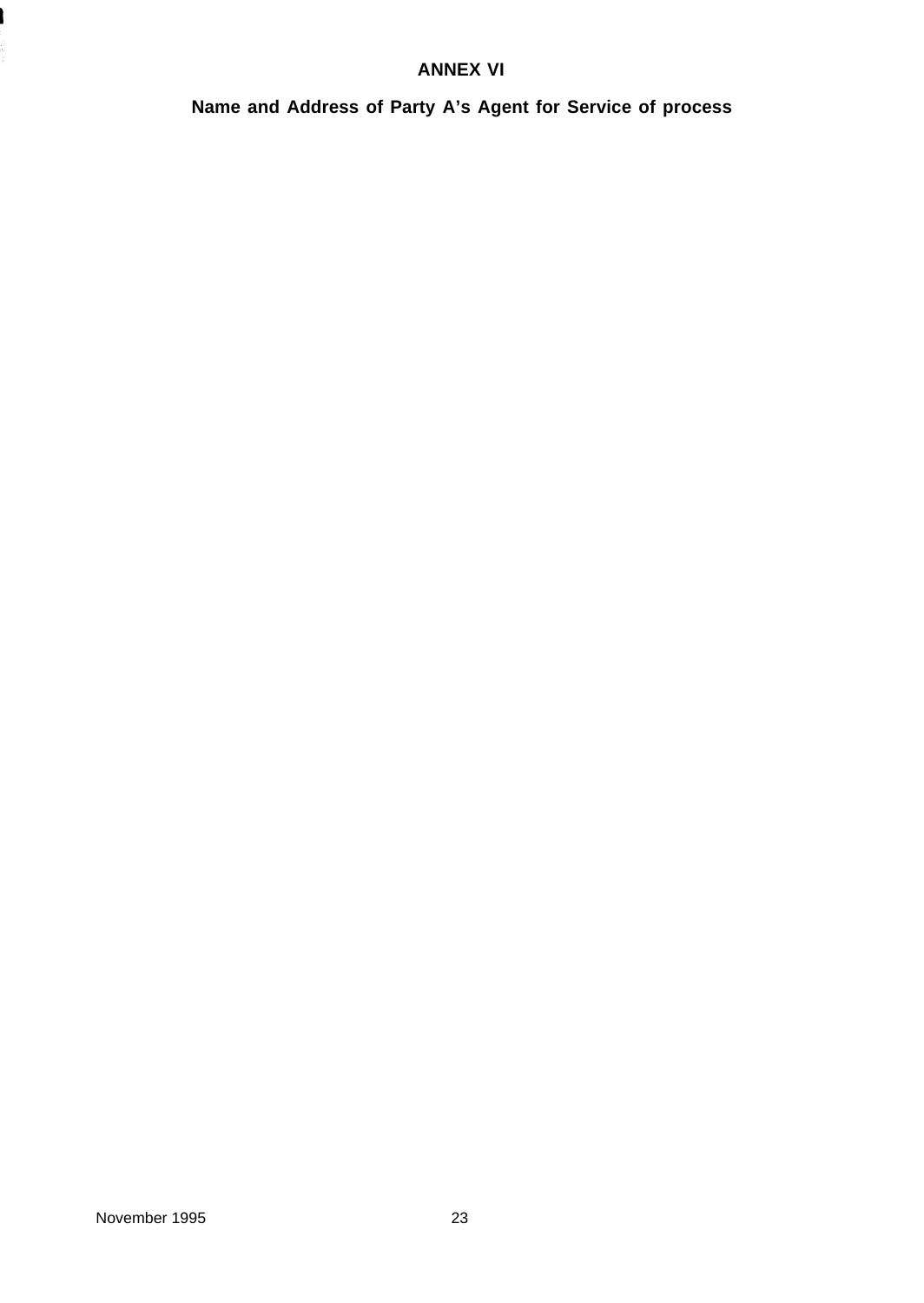# **ANNEX VI**

**Name and Address of Party A's Agent for Service of process**